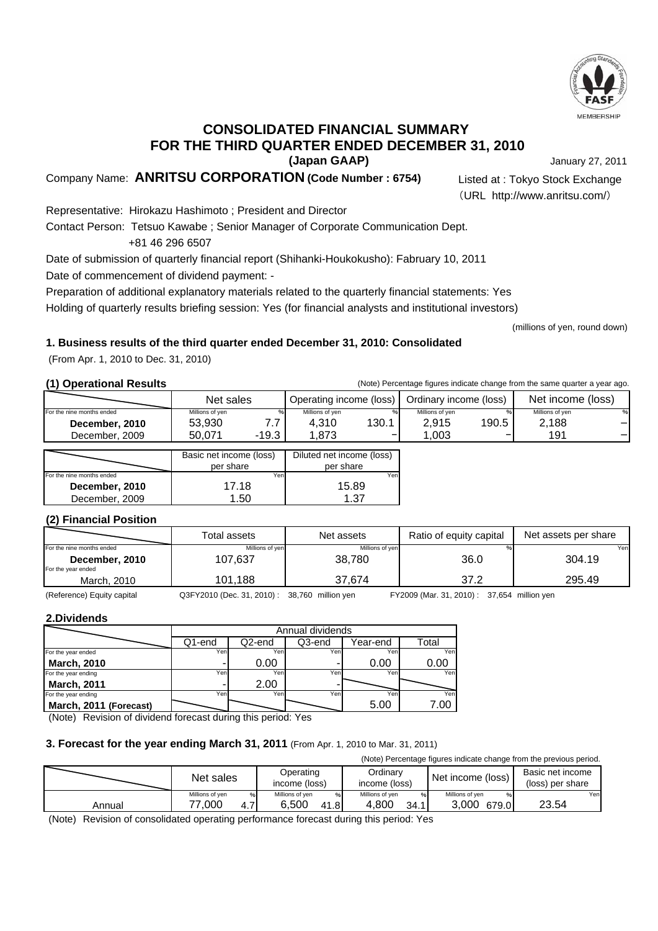

### **(Japan GAAP) CONSOLIDATED FINANCIAL SUMMARY FOR THE THIRD QUARTER ENDED DECEMBER 31, 2010**

January 27, 2011

Company Name: **ANRITSU CORPORATION (Code Number : 6754)** Listed at : Tokyo Stock Exchange

(URL http://www.anritsu.com/)

Representative: Hirokazu Hashimoto ; President and Director

Contact Person: Tetsuo Kawabe ; Senior Manager of Corporate Communication Dept.

+81 46 296 6507

Date of submission of quarterly financial report (Shihanki-Houkokusho): Fabruary 10, 2011 Date of commencement of dividend payment: -

Preparation of additional explanatory materials related to the quarterly financial statements: Yes

Holding of quarterly results briefing session: Yes (for financial analysts and institutional investors)

(millions of yen, round down)

### **1. Business results of the third quarter ended December 31, 2010: Consolidated**

(From Apr. 1, 2010 to Dec. 31, 2010)

**(1) Operational Results** (Note) Percentage figures indicate change from the same quarter a year ago.

|                           | Net sales       |         | Operating income (loss) |                          | Ordinary income (loss) |       | Net income (loss) |  |
|---------------------------|-----------------|---------|-------------------------|--------------------------|------------------------|-------|-------------------|--|
| For the nine months ended | Millions of yen | %       | Millions of ven         | 0/1                      | Millions of yen        |       | Millions of ven   |  |
| December, 2010            | 53.930          |         | 4.310                   | 130.1                    | 2,915                  | 190.5 | 2,188             |  |
| December, 2009            | 50,071          | $-19.3$ | .873                    | $\overline{\phantom{0}}$ | .003                   | -     | 191               |  |

|                           | Basic net income (loss) | Diluted net income (loss) |  |
|---------------------------|-------------------------|---------------------------|--|
|                           | per share               | per share                 |  |
| For the nine months ended | Yenl                    | Yen                       |  |
| December, 2010            | 17.18                   | 15.89                     |  |
| December, 2009            | $1.50 -$                | 1 37                      |  |

### **(2) Financial Position**

|                           | Total assets    | Net assets      | Ratio of equity capital | Net assets per share |
|---------------------------|-----------------|-----------------|-------------------------|----------------------|
| For the nine months ended | Millions of yen | Millions of yen |                         | Yenl                 |
| December, 2010            | 107,637         | 38.780          | 36.0                    | 304.19               |
| For the year ended        |                 |                 |                         |                      |
| March, 2010               | 101.188         | 37.674          | 37.2                    | 295.49               |

(Reference) Equity capital Q3FY2010 (Dec. 31, 2010) : 38,760 million yen FY2009 (Mar. 31, 2010) : 37,654 million yen

### **2.Dividends**

|                        | Annual dividends |        |        |          |       |  |  |  |
|------------------------|------------------|--------|--------|----------|-------|--|--|--|
|                        | Q1-end           | Q2-end | Q3-end | ∕ear-end | ™otal |  |  |  |
| For the year ended     | Yen              | Yen    | Yen    | Yen      | Yen   |  |  |  |
| <b>March, 2010</b>     |                  | 0.00   |        | 0.00     | 0.00  |  |  |  |
| For the year ending    | Yen              | Yen    | Yen    | Yen      | Yen   |  |  |  |
| <b>March, 2011</b>     | -                | 2.00   |        |          |       |  |  |  |
| For the year ending    | Yen              | Yen    | Yen    | Yen      | Yen   |  |  |  |
| March, 2011 (Forecast) |                  |        |        | 5.00     | 00    |  |  |  |

(Note) Revision of dividend forecast during this period: Yes

### **3. Forecast for the year ending March 31, 2011** (From Apr. 1, 2010 to Mar. 31, 2011)

| (Note) Percentage figures indicate change from the previous period. |                 |   |                                |  |                 |      |                   |     |                  |
|---------------------------------------------------------------------|-----------------|---|--------------------------------|--|-----------------|------|-------------------|-----|------------------|
|                                                                     | Net sales       |   | Operating                      |  | Ordinarv        |      | Net income (loss) |     | Basic net income |
|                                                                     |                 |   | income (loss)<br>income (loss) |  |                 |      | (loss) per share  |     |                  |
|                                                                     | Millions of ven | % | Millions of ven<br>%           |  | Millions of ven |      | Millions of ven   | 0/6 | Yenl             |
| Annual                                                              | .000            |   | 6.500<br>41.8                  |  | 4.800           | 34.1 | 3.000 679.0       |     | 23.54            |

(Note) Revision of consolidated operating performance forecast during this period: Yes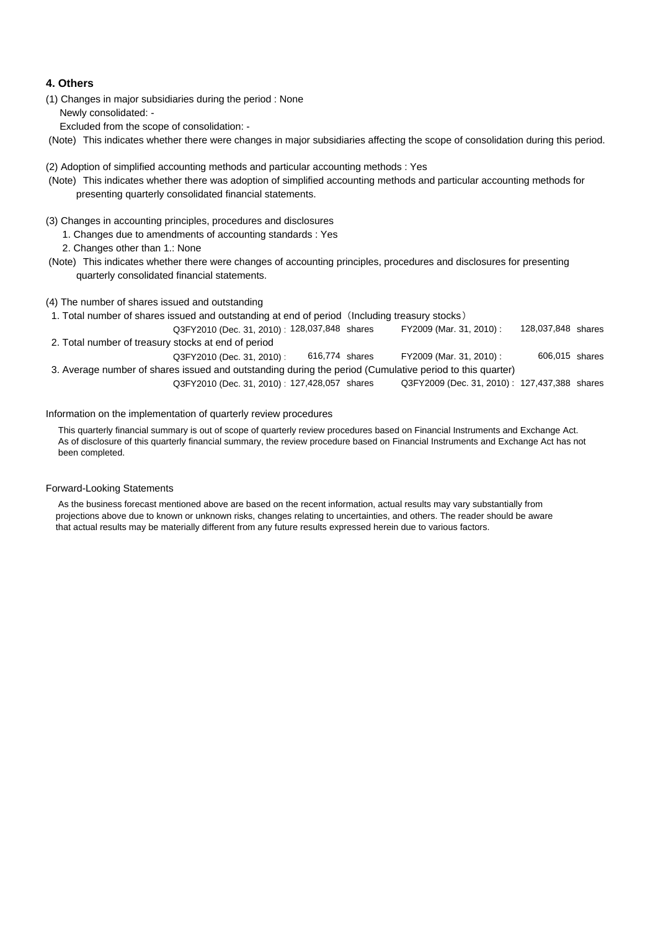### **4. Others**

(1) Changes in major subsidiaries during the period : None Newly consolidated: -

Excluded from the scope of consolidation: -

- (Note) This indicates whether there were changes in major subsidiaries affecting the scope of consolidation during this period.
- (2) Adoption of simplified accounting methods and particular accounting methods : Yes
- (Note) This indicates whether there was adoption of simplified accounting methods and particular accounting methods for presenting quarterly consolidated financial statements.
- (3) Changes in accounting principles, procedures and disclosures
	- 1. Changes due to amendments of accounting standards : Yes
	- 2. Changes other than 1.: None
- (Note) This indicates whether there were changes of accounting principles, procedures and disclosures for presenting quarterly consolidated financial statements.
- (4) The number of shares issued and outstanding
- 1. Total number of shares issued and outstanding at end of period (Including treasury stocks)
- Q3FY2010 (Dec. 31, 2010) : 128,037,848 shares FY2009 (Mar. 31, 2010) : 128,037,848 shares 2. Total number of treasury stocks at end of period Q3FY2010 (Dec. 31, 2010) : 616,774 shares FY2009 (Mar. 31, 2010) : 3. Average number of shares issued and outstanding during the period (Cumulative period to this quarter) 616,774 606,015 FY2009 (Mar. 31, 2010):
	- Q3FY2010 (Dec. 31, 2010) : 127,428,057 shares Q3FY2009 (Dec. 31, 2010) : 127,437,388 shares Q3FY2009 (Dec. 31, 2010): 127,437,388 shares

#### Information on the implementation of quarterly review procedures

 This quarterly financial summary is out of scope of quarterly review procedures based on Financial Instruments and Exchange Act. As of disclosure of this quarterly financial summary, the review procedure based on Financial Instruments and Exchange Act has not been completed.

#### Forward-Looking Statements

 As the business forecast mentioned above are based on the recent information, actual results may vary substantially from projections above due to known or unknown risks, changes relating to uncertainties, and others. The reader should be aware that actual results may be materially different from any future results expressed herein due to various factors.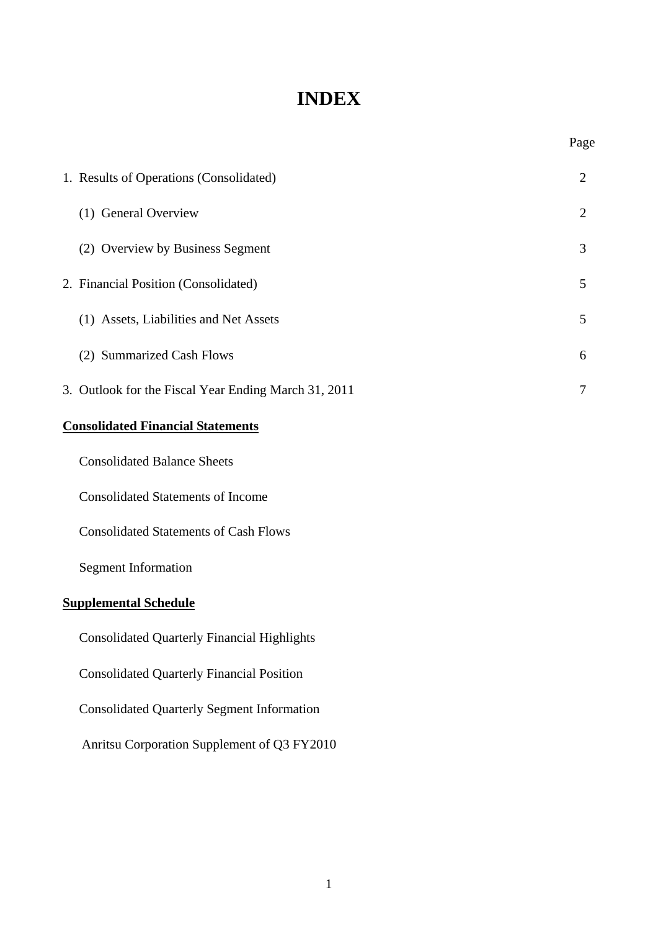# **INDEX**

Page

| 1. Results of Operations (Consolidated)              | $\overline{2}$ |
|------------------------------------------------------|----------------|
| (1) General Overview                                 | $\overline{2}$ |
| (2) Overview by Business Segment                     | 3              |
| 2. Financial Position (Consolidated)                 | 5              |
| (1) Assets, Liabilities and Net Assets               | 5              |
| (2) Summarized Cash Flows                            | 6              |
| 3. Outlook for the Fiscal Year Ending March 31, 2011 | 7              |
| <b>Consolidated Financial Statements</b>             |                |
| <b>Consolidated Balance Sheets</b>                   |                |
| <b>Consolidated Statements of Income</b>             |                |
| <b>Consolidated Statements of Cash Flows</b>         |                |
| <b>Segment Information</b>                           |                |
|                                                      |                |

### **Supplemental Schedule**

Consolidated Quarterly Financial Highlights

Consolidated Quarterly Financial Position

Consolidated Quarterly Segment Information

Anritsu Corporation Supplement of Q3 FY2010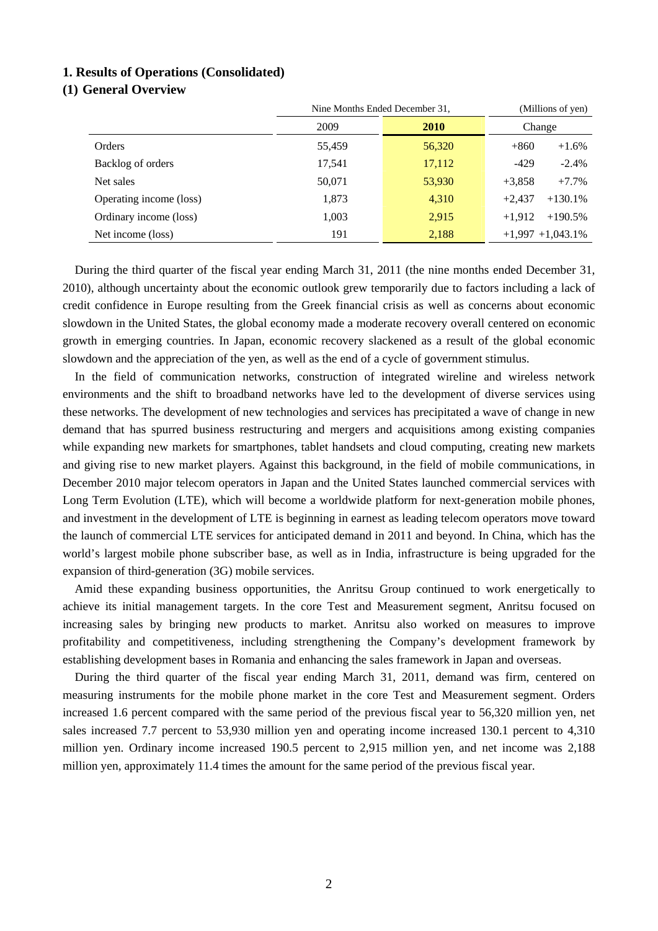### **1. Results of Operations (Consolidated)**

### **(1) General Overview**

|                         | Nine Months Ended December 31, | (Millions of yen) |                       |  |
|-------------------------|--------------------------------|-------------------|-----------------------|--|
|                         | 2009                           | <b>2010</b>       | Change                |  |
| Orders                  | 55,459                         | 56,320            | $+860$<br>$+1.6%$     |  |
| Backlog of orders       | 17,541                         | 17,112            | $-429$<br>$-2.4%$     |  |
| Net sales               | 50,071                         | 53,930            | $+7.7\%$<br>$+3,858$  |  |
| Operating income (loss) | 1,873                          | 4,310             | $+130.1%$<br>$+2.437$ |  |
| Ordinary income (loss)  | 1,003                          | 2,915             | $+190.5%$<br>$+1.912$ |  |
| Net income (loss)       | 191                            | 2,188             | $+1.997 +1.043.1%$    |  |

During the third quarter of the fiscal year ending March 31, 2011 (the nine months ended December 31, 2010), although uncertainty about the economic outlook grew temporarily due to factors including a lack of credit confidence in Europe resulting from the Greek financial crisis as well as concerns about economic slowdown in the United States, the global economy made a moderate recovery overall centered on economic growth in emerging countries. In Japan, economic recovery slackened as a result of the global economic slowdown and the appreciation of the yen, as well as the end of a cycle of government stimulus.

In the field of communication networks, construction of integrated wireline and wireless network environments and the shift to broadband networks have led to the development of diverse services using these networks. The development of new technologies and services has precipitated a wave of change in new demand that has spurred business restructuring and mergers and acquisitions among existing companies while expanding new markets for smartphones, tablet handsets and cloud computing, creating new markets and giving rise to new market players. Against this background, in the field of mobile communications, in December 2010 major telecom operators in Japan and the United States launched commercial services with Long Term Evolution (LTE), which will become a worldwide platform for next-generation mobile phones, and investment in the development of LTE is beginning in earnest as leading telecom operators move toward the launch of commercial LTE services for anticipated demand in 2011 and beyond. In China, which has the world's largest mobile phone subscriber base, as well as in India, infrastructure is being upgraded for the expansion of third-generation (3G) mobile services.

Amid these expanding business opportunities, the Anritsu Group continued to work energetically to achieve its initial management targets. In the core Test and Measurement segment, Anritsu focused on increasing sales by bringing new products to market. Anritsu also worked on measures to improve profitability and competitiveness, including strengthening the Company's development framework by establishing development bases in Romania and enhancing the sales framework in Japan and overseas.

During the third quarter of the fiscal year ending March 31, 2011, demand was firm, centered on measuring instruments for the mobile phone market in the core Test and Measurement segment. Orders increased 1.6 percent compared with the same period of the previous fiscal year to 56,320 million yen, net sales increased 7.7 percent to 53,930 million yen and operating income increased 130.1 percent to 4,310 million yen. Ordinary income increased 190.5 percent to 2,915 million yen, and net income was 2,188 million yen, approximately 11.4 times the amount for the same period of the previous fiscal year.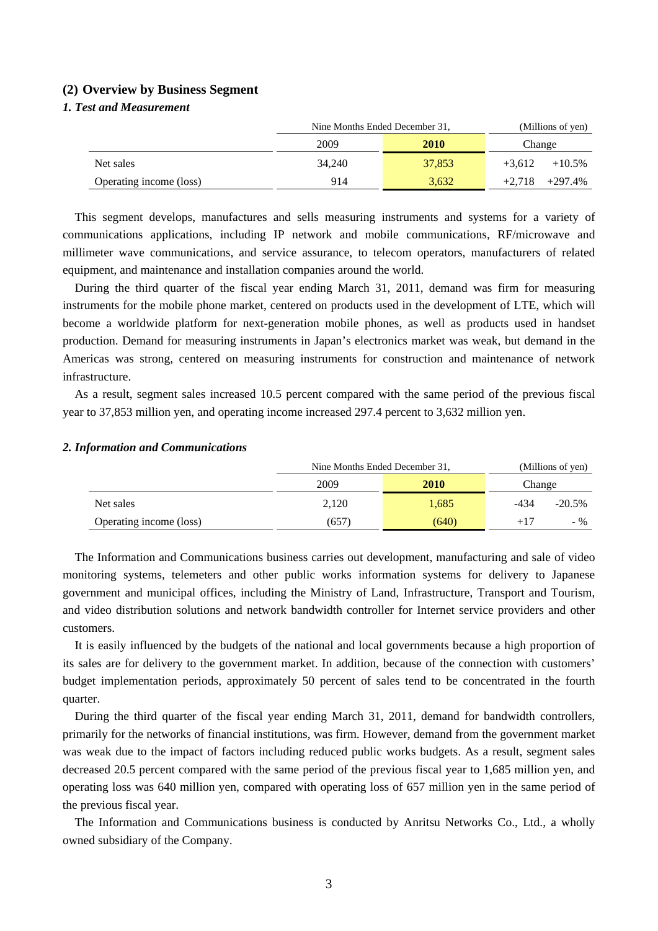#### **(2) Overview by Business Segment**

### *1. Test and Measurement*

|                         | Nine Months Ended December 31, | (Millions of yen) |                       |  |
|-------------------------|--------------------------------|-------------------|-----------------------|--|
|                         | 2009                           | <b>2010</b>       | Change                |  |
| Net sales               | 34,240                         | 37,853            | $+3.612$<br>$+10.5\%$ |  |
| Operating income (loss) | 914                            | 3,632             | $+2.718$ $+297.4\%$   |  |

This segment develops, manufactures and sells measuring instruments and systems for a variety of communications applications, including IP network and mobile communications, RF/microwave and millimeter wave communications, and service assurance, to telecom operators, manufacturers of related equipment, and maintenance and installation companies around the world.

During the third quarter of the fiscal year ending March 31, 2011, demand was firm for measuring instruments for the mobile phone market, centered on products used in the development of LTE, which will become a worldwide platform for next-generation mobile phones, as well as products used in handset production. Demand for measuring instruments in Japan's electronics market was weak, but demand in the Americas was strong, centered on measuring instruments for construction and maintenance of network infrastructure.

As a result, segment sales increased 10.5 percent compared with the same period of the previous fiscal year to 37,853 million yen, and operating income increased 297.4 percent to 3,632 million yen.

#### *2. Information and Communications*

|                         | Nine Months Ended December 31, | (Millions of yen) |        |          |
|-------------------------|--------------------------------|-------------------|--------|----------|
|                         | 2009                           | <b>2010</b>       | Change |          |
| Net sales               | 2,120                          | 1,685             | -434   | $-20.5%$ |
| Operating income (loss) | (657)                          | (640)             | $+17$  | $-$ %    |

The Information and Communications business carries out development, manufacturing and sale of video monitoring systems, telemeters and other public works information systems for delivery to Japanese government and municipal offices, including the Ministry of Land, Infrastructure, Transport and Tourism, and video distribution solutions and network bandwidth controller for Internet service providers and other customers.

It is easily influenced by the budgets of the national and local governments because a high proportion of its sales are for delivery to the government market. In addition, because of the connection with customers' budget implementation periods, approximately 50 percent of sales tend to be concentrated in the fourth quarter.

During the third quarter of the fiscal year ending March 31, 2011, demand for bandwidth controllers, primarily for the networks of financial institutions, was firm. However, demand from the government market was weak due to the impact of factors including reduced public works budgets. As a result, segment sales decreased 20.5 percent compared with the same period of the previous fiscal year to 1,685 million yen, and operating loss was 640 million yen, compared with operating loss of 657 million yen in the same period of the previous fiscal year.

The Information and Communications business is conducted by Anritsu Networks Co., Ltd., a wholly owned subsidiary of the Company.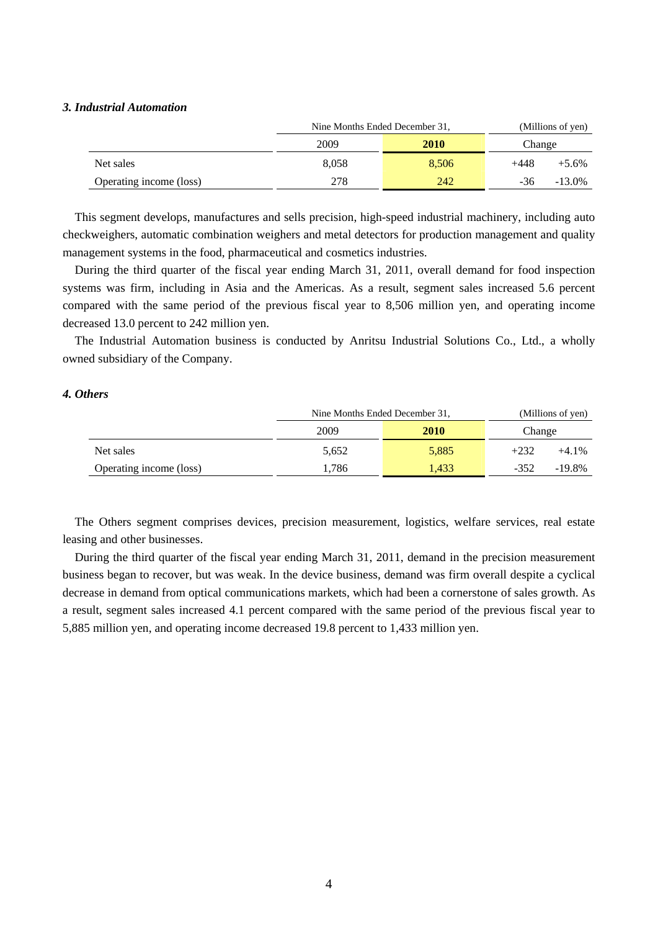### *3. Industrial Automation*

|                         | Nine Months Ended December 31, | (Millions of yen) |                    |  |
|-------------------------|--------------------------------|-------------------|--------------------|--|
|                         | 2009                           | <b>2010</b>       | Change             |  |
| Net sales               | 8,058                          | 8.506             | $+448$<br>$+5.6\%$ |  |
| Operating income (loss) | 278                            | 242               | -36<br>$-13.0\%$   |  |

This segment develops, manufactures and sells precision, high-speed industrial machinery, including auto checkweighers, automatic combination weighers and metal detectors for production management and quality management systems in the food, pharmaceutical and cosmetics industries.

During the third quarter of the fiscal year ending March 31, 2011, overall demand for food inspection systems was firm, including in Asia and the Americas. As a result, segment sales increased 5.6 percent compared with the same period of the previous fiscal year to 8,506 million yen, and operating income decreased 13.0 percent to 242 million yen.

The Industrial Automation business is conducted by Anritsu Industrial Solutions Co., Ltd., a wholly owned subsidiary of the Company.

### *4. Others*

|                         | Nine Months Ended December 31, | (Millions of yen) |                     |  |
|-------------------------|--------------------------------|-------------------|---------------------|--|
|                         | 2009                           | 2010              | Change              |  |
| Net sales               | 5,652                          | 5,885             | $+232$<br>$+4.1%$   |  |
| Operating income (loss) | .786                           | 1.433             | $-352$<br>$-19.8\%$ |  |

The Others segment comprises devices, precision measurement, logistics, welfare services, real estate leasing and other businesses.

During the third quarter of the fiscal year ending March 31, 2011, demand in the precision measurement business began to recover, but was weak. In the device business, demand was firm overall despite a cyclical decrease in demand from optical communications markets, which had been a cornerstone of sales growth. As a result, segment sales increased 4.1 percent compared with the same period of the previous fiscal year to 5,885 million yen, and operating income decreased 19.8 percent to 1,433 million yen.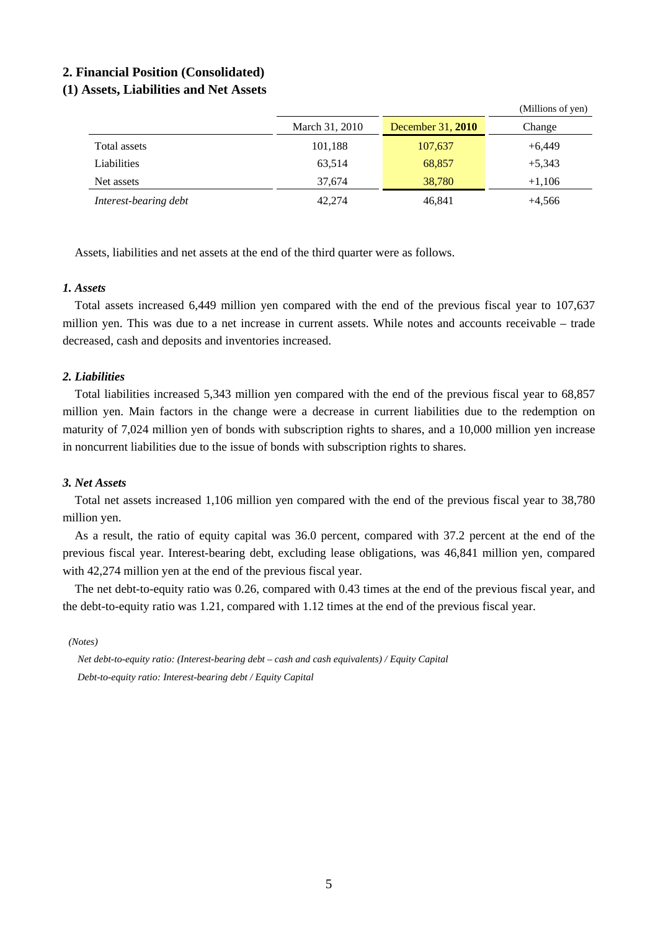### **2. Financial Position (Consolidated)**

### **(1) Assets, Liabilities and Net Assets**

|                       |                |                   | (1)      |
|-----------------------|----------------|-------------------|----------|
|                       | March 31, 2010 | December 31, 2010 | Change   |
| Total assets          | 101,188        | 107,637           | $+6.449$ |
| Liabilities           | 63,514         | 68,857            | $+5,343$ |
| Net assets            | 37.674         | 38,780            | $+1,106$ |
| Interest-bearing debt | 42,274         | 46,841            | $+4,566$ |

 $(M)$ llions of yen)

Assets, liabilities and net assets at the end of the third quarter were as follows.

### *1. Assets*

Total assets increased 6,449 million yen compared with the end of the previous fiscal year to 107,637 million yen. This was due to a net increase in current assets. While notes and accounts receivable – trade decreased, cash and deposits and inventories increased.

#### *2. Liabilities*

Total liabilities increased 5,343 million yen compared with the end of the previous fiscal year to 68,857 million yen. Main factors in the change were a decrease in current liabilities due to the redemption on maturity of 7,024 million yen of bonds with subscription rights to shares, and a 10,000 million yen increase in noncurrent liabilities due to the issue of bonds with subscription rights to shares.

### *3. Net Assets*

Total net assets increased 1,106 million yen compared with the end of the previous fiscal year to 38,780 million yen.

As a result, the ratio of equity capital was 36.0 percent, compared with 37.2 percent at the end of the previous fiscal year. Interest-bearing debt, excluding lease obligations, was 46,841 million yen, compared with 42,274 million yen at the end of the previous fiscal year.

The net debt-to-equity ratio was 0.26, compared with 0.43 times at the end of the previous fiscal year, and the debt-to-equity ratio was 1.21, compared with 1.12 times at the end of the previous fiscal year.

*(Notes)* 

*Net debt-to-equity ratio: (Interest-bearing debt – cash and cash equivalents) / Equity Capital Debt-to-equity ratio: Interest-bearing debt / Equity Capital*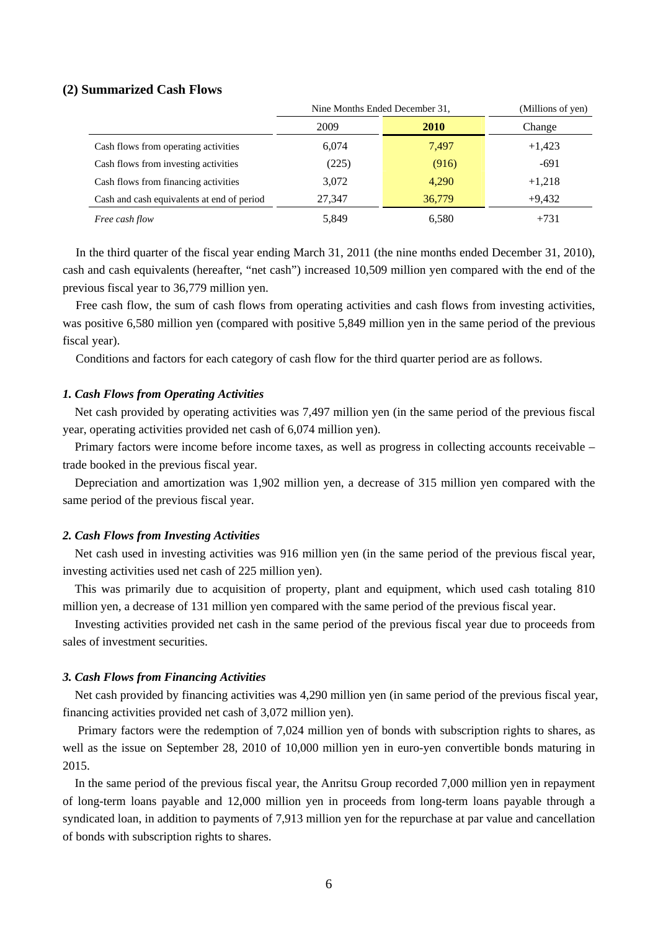### **(2) Summarized Cash Flows**

|                                            | Nine Months Ended December 31, | (Millions of yen) |          |
|--------------------------------------------|--------------------------------|-------------------|----------|
|                                            | 2009                           | <b>2010</b>       | Change   |
| Cash flows from operating activities       | 6,074                          | 7,497             | $+1,423$ |
| Cash flows from investing activities       | (225)                          | (916)             | $-691$   |
| Cash flows from financing activities       | 3,072                          | 4,290             | $+1,218$ |
| Cash and cash equivalents at end of period | 27,347                         | 36,779            | $+9,432$ |
| Free cash flow                             | 5,849                          | 6,580             | $+731$   |

In the third quarter of the fiscal year ending March 31, 2011 (the nine months ended December 31, 2010), cash and cash equivalents (hereafter, "net cash") increased 10,509 million yen compared with the end of the previous fiscal year to 36,779 million yen.

Free cash flow, the sum of cash flows from operating activities and cash flows from investing activities, was positive 6,580 million yen (compared with positive 5,849 million yen in the same period of the previous fiscal year).

Conditions and factors for each category of cash flow for the third quarter period are as follows.

#### *1. Cash Flows from Operating Activities*

Net cash provided by operating activities was 7,497 million yen (in the same period of the previous fiscal year, operating activities provided net cash of 6,074 million yen).

Primary factors were income before income taxes, as well as progress in collecting accounts receivable – trade booked in the previous fiscal year.

Depreciation and amortization was 1,902 million yen, a decrease of 315 million yen compared with the same period of the previous fiscal year.

#### *2. Cash Flows from Investing Activities*

Net cash used in investing activities was 916 million yen (in the same period of the previous fiscal year, investing activities used net cash of 225 million yen).

This was primarily due to acquisition of property, plant and equipment, which used cash totaling 810 million yen, a decrease of 131 million yen compared with the same period of the previous fiscal year.

Investing activities provided net cash in the same period of the previous fiscal year due to proceeds from sales of investment securities.

#### *3. Cash Flows from Financing Activities*

Net cash provided by financing activities was 4,290 million yen (in same period of the previous fiscal year, financing activities provided net cash of 3,072 million yen).

 Primary factors were the redemption of 7,024 million yen of bonds with subscription rights to shares, as well as the issue on September 28, 2010 of 10,000 million yen in euro-yen convertible bonds maturing in 2015.

In the same period of the previous fiscal year, the Anritsu Group recorded 7,000 million yen in repayment of long-term loans payable and 12,000 million yen in proceeds from long-term loans payable through a syndicated loan, in addition to payments of 7,913 million yen for the repurchase at par value and cancellation of bonds with subscription rights to shares.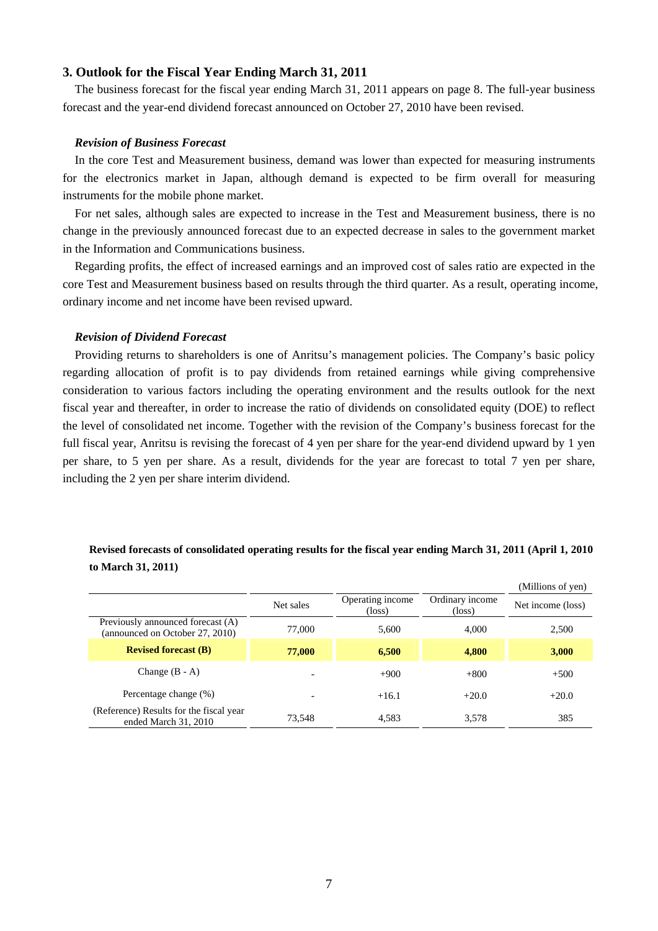### **3. Outlook for the Fiscal Year Ending March 31, 2011**

The business forecast for the fiscal year ending March 31, 2011 appears on page 8. The full-year business forecast and the year-end dividend forecast announced on October 27, 2010 have been revised.

#### *Revision of Business Forecast*

In the core Test and Measurement business, demand was lower than expected for measuring instruments for the electronics market in Japan, although demand is expected to be firm overall for measuring instruments for the mobile phone market.

For net sales, although sales are expected to increase in the Test and Measurement business, there is no change in the previously announced forecast due to an expected decrease in sales to the government market in the Information and Communications business.

Regarding profits, the effect of increased earnings and an improved cost of sales ratio are expected in the core Test and Measurement business based on results through the third quarter. As a result, operating income, ordinary income and net income have been revised upward.

#### *Revision of Dividend Forecast*

Providing returns to shareholders is one of Anritsu's management policies. The Company's basic policy regarding allocation of profit is to pay dividends from retained earnings while giving comprehensive consideration to various factors including the operating environment and the results outlook for the next fiscal year and thereafter, in order to increase the ratio of dividends on consolidated equity (DOE) to reflect the level of consolidated net income. Together with the revision of the Company's business forecast for the full fiscal year, Anritsu is revising the forecast of 4 yen per share for the year-end dividend upward by 1 yen per share, to 5 yen per share. As a result, dividends for the year are forecast to total 7 yen per share, including the 2 yen per share interim dividend.

### **Revised forecasts of consolidated operating results for the fiscal year ending March 31, 2011 (April 1, 2010 to March 31, 2011)**

|                                                                      |           |                                     |                                    | (Millions of yen) |
|----------------------------------------------------------------------|-----------|-------------------------------------|------------------------------------|-------------------|
|                                                                      | Net sales | Operating income<br>$(\text{loss})$ | Ordinary income<br>$(\text{loss})$ | Net income (loss) |
| Previously announced forecast (A)<br>(announced on October 27, 2010) | 77,000    | 5,600                               | 4,000                              | 2,500             |
| <b>Revised forecast (B)</b>                                          | 77,000    | 6,500                               | 4,800                              | 3,000             |
| Change $(B - A)$                                                     |           | $+900$                              | $+800$                             | $+500$            |
| Percentage change (%)                                                |           | $+16.1$                             | $+20.0$                            | $+20.0$           |
| (Reference) Results for the fiscal year<br>ended March 31, 2010      | 73.548    | 4,583                               | 3,578                              | 385               |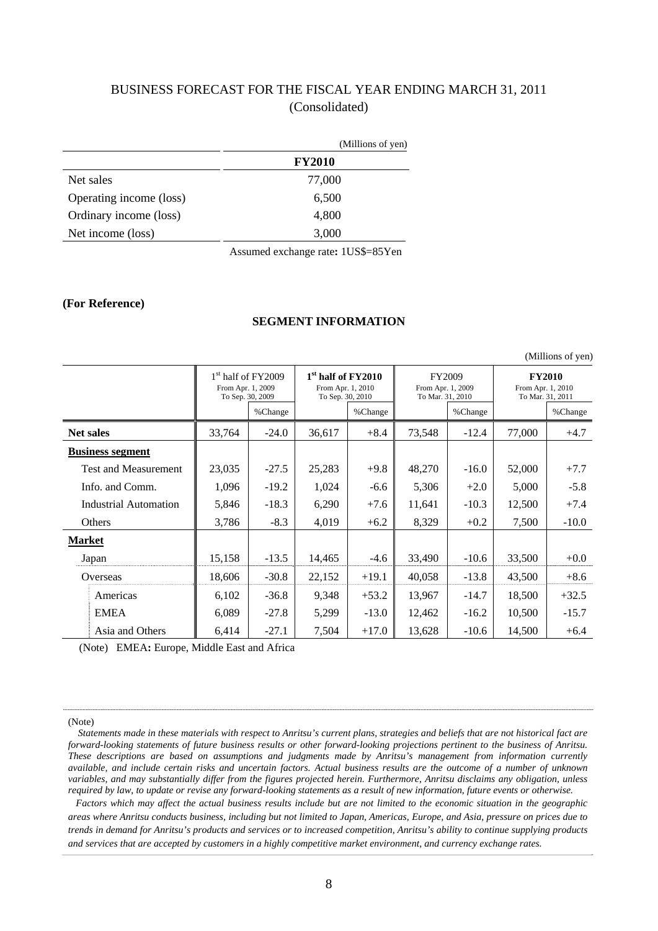### BUSINESS FORECAST FOR THE FISCAL YEAR ENDING MARCH 31, 2011 (Consolidated)

|                         | (Millions of yen) |
|-------------------------|-------------------|
|                         | <b>FY2010</b>     |
| Net sales               | 77,000            |
| Operating income (loss) | 6,500             |
| Ordinary income (loss)  | 4,800             |
| Net income (loss)       | 3,000             |
|                         |                   |

Assumed exchange rate**:** 1US\$=85Yen

#### **(For Reference)**

### **SEGMENT INFORMATION**

| <i>(VILLITIOILS OF YELL)</i> |                              |                                                               |         |        |                                                                         |        |                                                        |                                                        |         |
|------------------------------|------------------------------|---------------------------------------------------------------|---------|--------|-------------------------------------------------------------------------|--------|--------------------------------------------------------|--------------------------------------------------------|---------|
|                              |                              | $1st$ half of FY2009<br>From Apr. 1, 2009<br>To Sep. 30, 2009 |         |        | 1 <sup>st</sup> half of FY2010<br>From Apr. 1, 2010<br>To Sep. 30, 2010 |        | <b>FY2009</b><br>From Apr. 1, 2009<br>To Mar. 31, 2010 | <b>FY2010</b><br>From Apr. 1, 2010<br>To Mar. 31, 2011 |         |
|                              |                              |                                                               | %Change |        | %Change                                                                 |        | %Change                                                |                                                        | %Change |
| <b>Net sales</b>             |                              | 33,764                                                        | $-24.0$ | 36,617 | $+8.4$                                                                  | 73,548 | $-12.4$                                                | 77,000                                                 | $+4.7$  |
|                              | <b>Business segment</b>      |                                                               |         |        |                                                                         |        |                                                        |                                                        |         |
|                              | <b>Test and Measurement</b>  | 23,035                                                        | $-27.5$ | 25,283 | $+9.8$                                                                  | 48,270 | $-16.0$                                                | 52,000                                                 | $+7.7$  |
|                              | Info. and Comm.              | 1,096                                                         | $-19.2$ | 1,024  | $-6.6$                                                                  | 5,306  | $+2.0$                                                 | 5,000                                                  | $-5.8$  |
|                              | <b>Industrial Automation</b> | 5,846                                                         | $-18.3$ | 6,290  | $+7.6$                                                                  | 11,641 | $-10.3$                                                | 12,500                                                 | $+7.4$  |
|                              | Others                       | 3,786                                                         | $-8.3$  | 4,019  | $+6.2$                                                                  | 8,329  | $+0.2$                                                 | 7,500                                                  | $-10.0$ |
| <b>Market</b>                |                              |                                                               |         |        |                                                                         |        |                                                        |                                                        |         |
|                              | Japan                        | 15,158                                                        | $-13.5$ | 14,465 | $-4.6$                                                                  | 33,490 | $-10.6$                                                | 33,500                                                 | $+0.0$  |
|                              | Overseas                     | 18,606                                                        | $-30.8$ | 22,152 | $+19.1$                                                                 | 40,058 | $-13.8$                                                | 43,500                                                 | $+8.6$  |
|                              | Americas                     | 6,102                                                         | $-36.8$ | 9,348  | $+53.2$                                                                 | 13,967 | $-14.7$                                                | 18,500                                                 | $+32.5$ |
|                              | <b>EMEA</b>                  | 6,089                                                         | $-27.8$ | 5,299  | $-13.0$                                                                 | 12,462 | $-16.2$                                                | 10,500                                                 | $-15.7$ |
|                              | Asia and Others              | 6,414                                                         | $-27.1$ | 7,504  | $+17.0$                                                                 | 13,628 | $-10.6$                                                | 14,500                                                 | $+6.4$  |

(Note) EMEA**:** Europe, Middle East and Africa

(Note)

 *Statements made in these materials with respect to Anritsu's current plans, strategies and beliefs that are not historical fact are forward-looking statements of future business results or other forward-looking projections pertinent to the business of Anritsu. These descriptions are based on assumptions and judgments made by Anritsu's management from information currently available, and include certain risks and uncertain factors. Actual business results are the outcome of a number of unknown variables, and may substantially differ from the figures projected herein. Furthermore, Anritsu disclaims any obligation, unless required by law, to update or revise any forward-looking statements as a result of new information, future events or otherwise.*

*Factors which may affect the actual business results include but are not limited to the economic situation in the geographic areas where Anritsu conducts business, including but not limited to Japan, Americas, Europe, and Asia, pressure on prices due to trends in demand for Anritsu's products and services or to increased competition, Anritsu's ability to continue supplying products and services that are accepted by customers in a highly competitive market environment, and currency exchange rates.*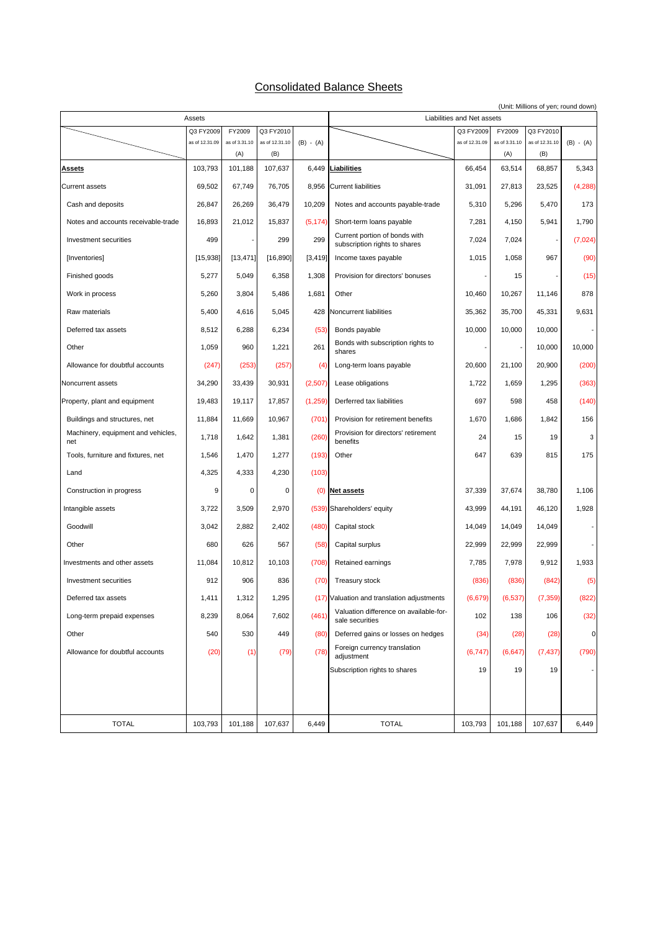### Consolidated Balance Sheets

|                                           |                             |                         |                             |             | (Unit: Millions of yen; round down)                            |                             |                         |                             |             |
|-------------------------------------------|-----------------------------|-------------------------|-----------------------------|-------------|----------------------------------------------------------------|-----------------------------|-------------------------|-----------------------------|-------------|
|                                           | Assets                      |                         |                             |             |                                                                | Liabilities and Net assets  |                         |                             |             |
|                                           | Q3 FY2009<br>as of 12.31.09 | FY2009<br>as of 3.31.10 | Q3 FY2010<br>as of 12.31.10 | $(B) - (A)$ |                                                                | Q3 FY2009<br>as of 12.31.09 | FY2009<br>as of 3.31.10 | Q3 FY2010<br>as of 12.31.10 | $(B) - (A)$ |
|                                           |                             | (A)                     | (B)                         |             |                                                                |                             | (A)                     | (B)                         |             |
| <b>Assets</b>                             | 103,793                     | 101,188                 | 107,637                     |             | 6,449 Liabilities                                              | 66,454                      | 63,514                  | 68,857                      | 5,343       |
| <b>Current assets</b>                     | 69,502                      | 67,749                  | 76,705                      | 8,956       | <b>Current liabilities</b>                                     | 31,091                      | 27,813                  | 23,525                      | (4, 288)    |
| Cash and deposits                         | 26,847                      | 26,269                  | 36,479                      | 10,209      | Notes and accounts payable-trade                               | 5,310                       | 5,296                   | 5,470                       | 173         |
| Notes and accounts receivable-trade       | 16,893                      | 21,012                  | 15,837                      | (5, 174)    | Short-term loans payable                                       | 7,281                       | 4,150                   | 5,941                       | 1,790       |
| Investment securities                     | 499                         |                         | 299                         | 299         | Current portion of bonds with<br>subscription rights to shares | 7,024                       | 7,024                   |                             | (7,024)     |
| [Inventories]                             | [15, 938]                   | [13, 471]               | [16, 890]                   | [3, 419]    | Income taxes payable                                           | 1,015                       | 1,058                   | 967                         | (90)        |
| Finished goods                            | 5,277                       | 5,049                   | 6,358                       | 1,308       | Provision for directors' bonuses                               |                             | 15                      |                             | (15)        |
| Work in process                           | 5,260                       | 3,804                   | 5,486                       | 1,681       | Other                                                          | 10,460                      | 10,267                  | 11,146                      | 878         |
| Raw materials                             | 5,400                       | 4,616                   | 5,045                       | 428         | Noncurrent liabilities                                         | 35,362                      | 35,700                  | 45,331                      | 9,631       |
| Deferred tax assets                       | 8,512                       | 6,288                   | 6,234                       | (53)        | Bonds payable                                                  | 10,000                      | 10,000                  | 10,000                      |             |
| Other                                     | 1,059                       | 960                     | 1,221                       | 261         | Bonds with subscription rights to<br>shares                    |                             |                         | 10,000                      | 10,000      |
| Allowance for doubtful accounts           | (247)                       | (253)                   | (257)                       | (4)         | Long-term loans payable                                        | 20,600                      | 21,100                  | 20,900                      | (200)       |
| Noncurrent assets                         | 34,290                      | 33,439                  | 30,931                      | (2,507)     | Lease obligations                                              | 1,722                       | 1,659                   | 1,295                       | (363)       |
| Property, plant and equipment             | 19,483                      | 19,117                  | 17,857                      | (1,259)     | Derferred tax liabilities                                      | 697                         | 598                     | 458                         | (140)       |
| Buildings and structures, net             | 11,884                      | 11,669                  | 10,967                      | (701)       | Provision for retirement benefits                              | 1,670                       | 1,686                   | 1,842                       | 156         |
| Machinery, equipment and vehicles,<br>net | 1,718                       | 1,642                   | 1,381                       | (260)       | Provision for directors' retirement<br>benefits                | 24                          | 15                      | 19                          | 3           |
| Tools, furniture and fixtures, net        | 1,546                       | 1,470                   | 1,277                       | (193)       | Other                                                          | 647                         | 639                     | 815                         | 175         |
| Land                                      | 4,325                       | 4,333                   | 4,230                       | (103)       |                                                                |                             |                         |                             |             |
| Construction in progress                  | 9                           | 0                       | 0                           | (0)         | Net assets                                                     | 37,339                      | 37,674                  | 38,780                      | 1,106       |
| Intangible assets                         | 3,722                       | 3,509                   | 2,970                       |             | (539) Shareholders' equity                                     | 43,999                      | 44,191                  | 46,120                      | 1,928       |
| Goodwill                                  | 3,042                       | 2,882                   | 2,402                       | (480)       | Capital stock                                                  | 14,049                      | 14,049                  | 14,049                      |             |
| Other                                     | 680                         | 626                     | 567                         | (58)        | Capital surplus                                                | 22,999                      | 22,999                  | 22,999                      |             |
| Investments and other assets              | 11,084                      | 10,812                  | 10,103                      | (708)       | Retained earnings                                              | 7,785                       | 7,978                   | 9,912                       | 1,933       |
| Investment securities                     | 912                         | 906                     | 836                         | (70)        | Treasury stock                                                 | (836)                       | (836)                   | (842)                       | (5)         |
| Deferred tax assets                       | 1,411                       | 1,312                   | 1,295                       |             | (17) Valuation and translation adjustments                     | (6,679)                     | (6, 537)                | (7, 359)                    | (822)       |
| Long-term prepaid expenses                | 8,239                       | 8,064                   | 7,602                       | (461)       | Valuation difference on available-for-<br>sale securities      | 102                         | 138                     | 106                         | (32)        |
| Other                                     | 540                         | 530                     | 449                         | (80)        | Deferred gains or losses on hedges                             | (34)                        | (28)                    | (28)                        | 0           |
| Allowance for doubtful accounts           | (20)                        | (1)                     | (79)                        | (78)        | Foreign currency translation<br>adjustment                     | (6,747)                     | (6, 647)                | (7, 437)                    | (790)       |
|                                           |                             |                         |                             |             | Subscription rights to shares                                  | 19                          | 19                      | 19                          |             |
|                                           |                             |                         |                             |             |                                                                |                             |                         |                             |             |
| <b>TOTAL</b>                              | 103,793                     | 101,188                 | 107,637                     | 6,449       | <b>TOTAL</b>                                                   | 103,793                     | 101,188                 | 107,637                     | 6,449       |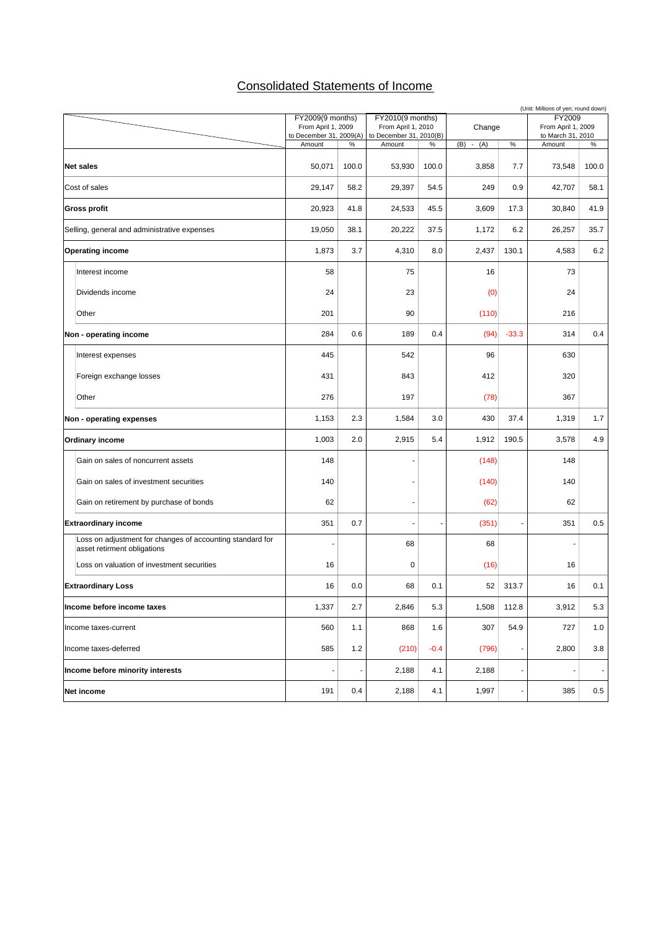### Consolidated Statements of Income

|                                                                                          | (Unit: Millions of yen; round down) |       |                         |        |               |         |                    |                |  |  |
|------------------------------------------------------------------------------------------|-------------------------------------|-------|-------------------------|--------|---------------|---------|--------------------|----------------|--|--|
|                                                                                          | FY2009(9 months)                    |       | FY2010(9 months)        |        |               |         | FY2009             |                |  |  |
|                                                                                          | From April 1, 2009                  |       | From April 1, 2010      |        | Change        |         | From April 1, 2009 |                |  |  |
|                                                                                          | to December 31, 2009(A)             |       | to December 31, 2010(B) |        |               |         | to March 31, 2010  |                |  |  |
|                                                                                          | Amount                              | $\%$  | Amount                  | $\%$   | (B)<br>$-(A)$ | $\%$    | Amount             | $\%$           |  |  |
| <b>Net sales</b>                                                                         | 50,071                              | 100.0 | 53,930                  | 100.0  | 3,858         | 7.7     | 73,548             | 100.0          |  |  |
| Cost of sales                                                                            | 29,147                              | 58.2  | 29,397                  | 54.5   | 249           | 0.9     | 42,707             | 58.1           |  |  |
| <b>Gross profit</b>                                                                      | 20,923                              | 41.8  | 24,533                  | 45.5   | 3,609         | 17.3    | 30,840             | 41.9           |  |  |
| Selling, general and administrative expenses                                             | 19,050                              | 38.1  | 20,222                  | 37.5   | 1,172         | 6.2     | 26,257             | 35.7           |  |  |
| <b>Operating income</b>                                                                  | 1,873                               | 3.7   | 4,310                   | 8.0    | 2,437         | 130.1   | 4,583              | 6.2            |  |  |
| Interest income                                                                          | 58                                  |       | 75                      |        | 16            |         | 73                 |                |  |  |
| Dividends income                                                                         | 24                                  |       | 23                      |        | (0)           |         | 24                 |                |  |  |
| Other                                                                                    | 201                                 |       | 90                      |        | (110)         |         | 216                |                |  |  |
| Non - operating income                                                                   | 284                                 | 0.6   | 189                     | 0.4    | (94)          | $-33.3$ | 314                | 0.4            |  |  |
| Interest expenses                                                                        | 445                                 |       | 542                     |        | 96            |         | 630                |                |  |  |
| Foreign exchange losses                                                                  | 431                                 |       | 843                     |        | 412           |         | 320                |                |  |  |
| Other                                                                                    | 276                                 |       | 197                     |        | (78)          |         | 367                |                |  |  |
| Non - operating expenses                                                                 | 1,153                               | 2.3   | 1,584                   | 3.0    | 430           | 37.4    | 1,319              | 1.7            |  |  |
| Ordinary income                                                                          | 1,003                               | 2.0   | 2,915                   | 5.4    | 1,912         | 190.5   | 3,578              | 4.9            |  |  |
| Gain on sales of noncurrent assets                                                       | 148                                 |       |                         |        | (148)         |         | 148                |                |  |  |
| Gain on sales of investment securities                                                   | 140                                 |       |                         |        | (140)         |         | 140                |                |  |  |
| Gain on retirement by purchase of bonds                                                  | 62                                  |       |                         |        | (62)          |         | 62                 |                |  |  |
| <b>Extraordinary income</b>                                                              | 351                                 | 0.7   |                         |        | (351)         |         | 351                | 0.5            |  |  |
| Loss on adjustment for changes of accounting standard for<br>asset retirment obligations |                                     |       | 68                      |        | 68            |         |                    |                |  |  |
| Loss on valuation of investment securities                                               | 16                                  |       | 0                       |        | (16)          |         | 16                 |                |  |  |
| <b>Extraordinary Loss</b>                                                                | 16                                  | 0.0   | 68                      | 0.1    | 52            | 313.7   | 16                 | 0.1            |  |  |
| Income before income taxes                                                               | 1,337                               | 2.7   | 2,846                   | 5.3    | 1,508         | 112.8   | 3,912              | 5.3            |  |  |
| Income taxes-current                                                                     | 560                                 | 1.1   | 868                     | 1.6    | 307           | 54.9    | 727                | 1.0            |  |  |
| Income taxes-deferred                                                                    | 585                                 | $1.2$ | (210)                   | $-0.4$ | (796)         |         | 2,800              | 3.8            |  |  |
| Income before minority interests                                                         |                                     |       | 2,188                   | 4.1    | 2,188         |         |                    | $\blacksquare$ |  |  |
| <b>Net income</b>                                                                        | 191                                 | 0.4   | 2,188                   | 4.1    | 1,997         |         | 385                | $0.5\,$        |  |  |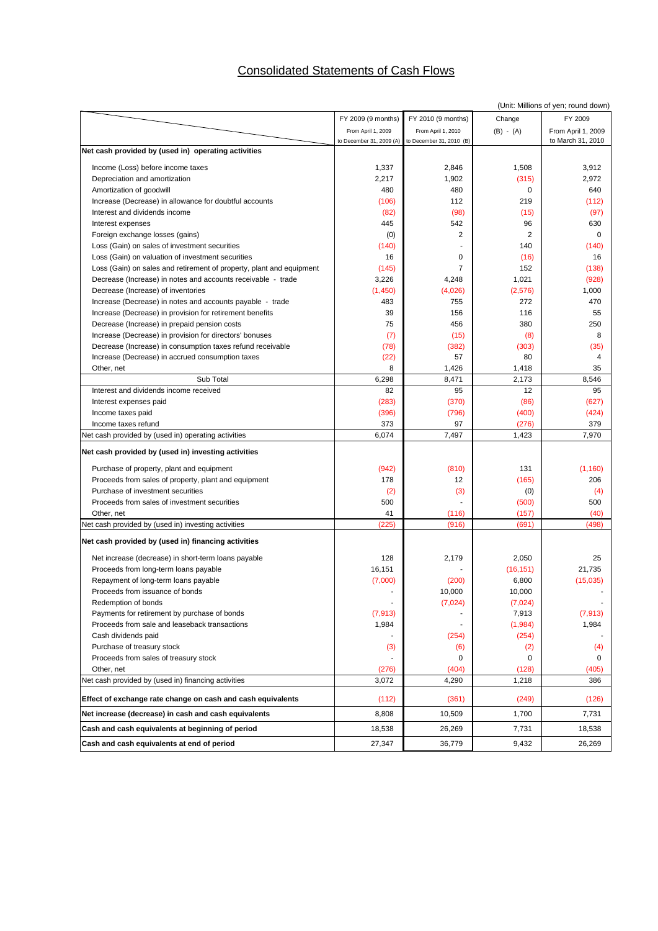### Consolidated Statements of Cash Flows

|                                                                      |                          |                          |                | (Unit: Millions of yen; round down) |
|----------------------------------------------------------------------|--------------------------|--------------------------|----------------|-------------------------------------|
|                                                                      | FY 2009 (9 months)       | FY 2010 (9 months)       | Change         | FY 2009                             |
|                                                                      | From April 1, 2009       | From April 1, 2010       | $(B) - (A)$    | From April 1, 2009                  |
|                                                                      | to December 31, 2009 (A) | to December 31, 2010 (B) |                | to March 31, 2010                   |
| Net cash provided by (used in) operating activities                  |                          |                          |                |                                     |
| Income (Loss) before income taxes                                    | 1,337                    | 2,846                    | 1,508          | 3,912                               |
| Depreciation and amortization                                        | 2,217                    | 1,902                    | (315)          | 2,972                               |
| Amortization of goodwill                                             | 480                      | 480                      | $\mathbf 0$    | 640                                 |
| Increase (Decrease) in allowance for doubtful accounts               | (106)                    | 112                      | 219            | (112)                               |
| Interest and dividends income                                        | (82)                     | (98)                     | (15)           | (97)                                |
| Interest expenses                                                    | 445                      | 542                      | 96             | 630                                 |
| Foreign exchange losses (gains)                                      | (0)                      | $\overline{2}$           | $\overline{2}$ | $\Omega$                            |
| Loss (Gain) on sales of investment securities                        | (140)                    |                          | 140            | (140)                               |
| Loss (Gain) on valuation of investment securities                    | 16                       | 0                        | (16)           | 16                                  |
| Loss (Gain) on sales and retirement of property, plant and equipment | (145)                    | $\overline{7}$           | 152            | (138)                               |
| Decrease (Increase) in notes and accounts receivable - trade         | 3,226                    | 4,248                    | 1,021          | (928)                               |
| Decrease (Increase) of inventories                                   | (1,450)                  | (4,026)                  | (2,576)        | 1,000                               |
| Increase (Decrease) in notes and accounts payable - trade            | 483                      | 755                      | 272            | 470                                 |
| Increase (Decrease) in provision for retirement benefits             | 39                       | 156                      | 116            | 55                                  |
| Decrease (Increase) in prepaid pension costs                         | 75                       | 456                      | 380            | 250                                 |
| Increase (Decrease) in provision for directors' bonuses              | (7)                      | (15)                     | (8)            | 8                                   |
| Decrease (Increase) in consumption taxes refund receivable           | (78)                     | (382)                    | (303)          | (35)                                |
| Increase (Decrease) in accrued consumption taxes                     | (22)                     | 57                       | 80             | 4                                   |
| Other, net                                                           | 8                        | 1,426                    | 1,418          | 35                                  |
| Sub Total                                                            | 6,298                    | 8,471                    | 2,173          | 8,546                               |
| Interest and dividends income received                               | 82                       | 95                       | 12             | 95                                  |
| Interest expenses paid                                               | (283)                    | (370)                    | (86)           | (627)                               |
| Income taxes paid                                                    | (396)                    | (796)                    | (400)          | (424)                               |
| Income taxes refund                                                  | 373                      | 97                       | (276)          | 379                                 |
| Net cash provided by (used in) operating activities                  | 6,074                    | 7,497                    | 1,423          | 7,970                               |
| Net cash provided by (used in) investing activities                  |                          |                          |                |                                     |
| Purchase of property, plant and equipment                            | (942)                    | (810)                    | 131            | (1, 160)                            |
| Proceeds from sales of property, plant and equipment                 | 178                      | 12                       | (165)          | 206                                 |
| Purchase of investment securities                                    | (2)                      | (3)                      | (0)            | (4)                                 |
| Proceeds from sales of investment securities                         | 500                      |                          | (500)          | 500                                 |
| Other, net                                                           | 41                       | (116)                    | (157)          | (40)                                |
| Net cash provided by (used in) investing activities                  | (225)                    | (916)                    | (691)          | (498)                               |
| Net cash provided by (used in) financing activities                  |                          |                          |                |                                     |
|                                                                      |                          |                          |                |                                     |
| Net increase (decrease) in short-term loans payable                  | 128                      | 2,179                    | 2,050          | 25                                  |
| Proceeds from long-term loans payable                                | 16,151                   |                          | (16, 151)      | 21,735                              |
| Repayment of long-term loans payable                                 | (7,000)                  | (200)                    | 6,800          | (15,035)                            |
| Proceeds from issuance of bonds                                      |                          | 10.000                   | 10,000         |                                     |
| Redemption of bonds                                                  |                          | (7,024)                  | (7,024)        |                                     |
| Payments for retirement by purchase of bonds                         | (7, 913)                 |                          | 7,913          | (7, 913)                            |
| Proceeds from sale and leaseback transactions                        | 1,984                    |                          | (1,984)        | 1,984                               |
| Cash dividends paid                                                  |                          | (254)                    | (254)          |                                     |
| Purchase of treasury stock                                           | (3)                      | (6)                      | (2)            | (4)                                 |
| Proceeds from sales of treasury stock                                |                          | 0                        | 0              | 0                                   |
| Other, net                                                           | (276)                    | (404)                    | (128)          | (405)                               |
| Net cash provided by (used in) financing activities                  | 3,072                    | 4,290                    | 1,218          | 386                                 |
| Effect of exchange rate change on cash and cash equivalents          | (112)                    | (361)                    | (249)          | (126)                               |
| Net increase (decrease) in cash and cash equivalents                 | 8,808                    | 10,509                   | 1,700          | 7,731                               |
| Cash and cash equivalents at beginning of period                     | 18,538                   | 26,269                   | 7,731          | 18,538                              |
| Cash and cash equivalents at end of period                           | 27,347                   | 36,779                   | 9,432          | 26,269                              |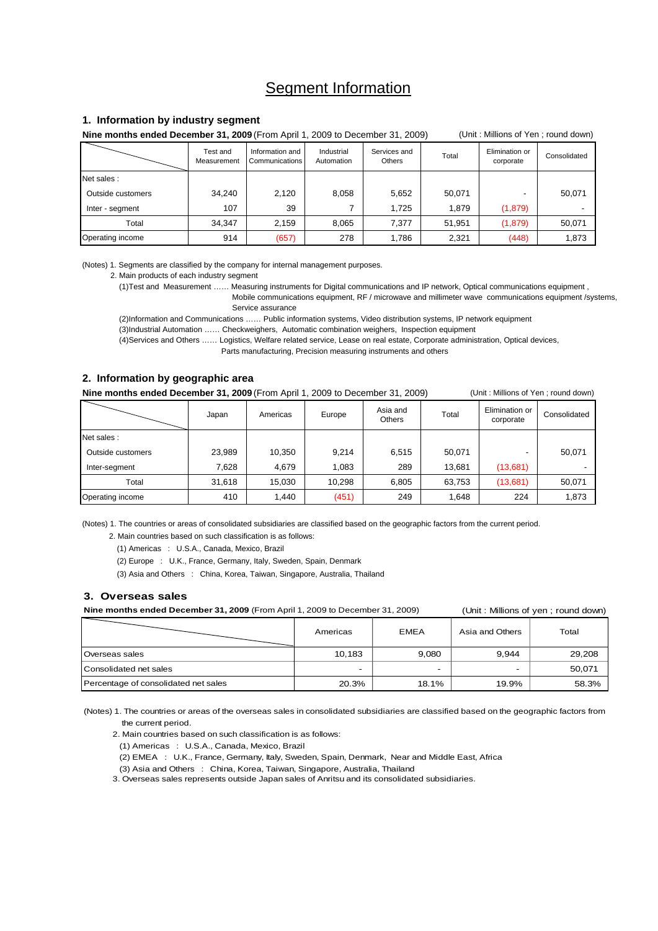### Segment Information

#### **1. Information by industry segment**

**Nine months ended December 31, 2009** (From April 1, 2009 to December 31, 2009) (Unit : Millions of Yen ; round down)

|                   | Test and<br>Measurement | Information and<br>Communications | Industrial<br>Automation | Services and<br>Others | Total  | Elimination or<br>corporate | Consolidated |
|-------------------|-------------------------|-----------------------------------|--------------------------|------------------------|--------|-----------------------------|--------------|
| Net sales:        |                         |                                   |                          |                        |        |                             |              |
| Outside customers | 34.240                  | 2,120                             | 8,058                    | 5,652                  | 50,071 |                             | 50,071       |
| Inter - segment   | 107                     | 39                                |                          | 1.725                  | 1.879  | (1,879)                     |              |
| Total             | 34.347                  | 2,159                             | 8,065                    | 7.377                  | 51.951 | (1, 879)                    | 50,071       |
| Operating income  | 914                     | (657)                             | 278                      | 1.786                  | 2,321  | (448)                       | 1,873        |

(Notes) 1. Segments are classified by the company for internal management purposes.

2. Main products of each industry segment

(1)Test and Measurement …… Measuring instruments for Digital communications and IP network, Optical communications equipment ,

 Mobile communications equipment, RF / microwave and millimeter wave communications equipment /systems, Service assurance

(2)Information and Communications …… Public information systems, Video distribution systems, IP network equipment

(3)Industrial Automation …… Checkweighers, Automatic combination weighers, Inspection equipment

 (4)Services and Others …… Logistics, Welfare related service, Lease on real estate, Corporate administration, Optical devices, Parts manufacturing, Precision measuring instruments and others

#### **2. Information by geographic area**

**Nine months ended December 31, 2009** (From April 1, 2009 to December 31, 2009) (Unit: Millions of Yen ; round down)

|                   | Japan  | Americas | Europe | Asia and<br><b>Others</b> | Total  | Elimination or<br>corporate | Consolidated |
|-------------------|--------|----------|--------|---------------------------|--------|-----------------------------|--------------|
| Net sales:        |        |          |        |                           |        |                             |              |
| Outside customers | 23,989 | 10.350   | 9.214  | 6,515                     | 50.071 |                             | 50,071       |
| Inter-segment     | 7.628  | 4.679    | 1.083  | 289                       | 13,681 | (13,681)                    |              |
| Total             | 31.618 | 15.030   | 10,298 | 6,805                     | 63,753 | (13,681)                    | 50,071       |
| Operating income  | 410    | .440     | (451)  | 249                       | 1,648  | 224                         | 1,873        |

(Notes) 1. The countries or areas of consolidated subsidiaries are classified based on the geographic factors from the current period.

2. Main countries based on such classification is as follows:

(1) Americas : U.S.A., Canada, Mexico, Brazil

(2) Europe : U.K., France, Germany, Italy, Sweden, Spain, Denmark

(3) Asia and Others : China, Korea, Taiwan, Singapore, Australia, Thailand

#### **3. Overseas sales**

**Nine months ended December 31, 2009** (From April 1, 2009 to December 31, 2009) (Unit : Millions of yen ; round down)

|                                      | Americas                 | <b>EMEA</b> | Asia and Others | Total  |
|--------------------------------------|--------------------------|-------------|-----------------|--------|
| Overseas sales                       | 10,183                   | 9,080       | 9.944           | 29,208 |
| Consolidated net sales               | $\overline{\phantom{0}}$ | -           | -               | 50,071 |
| Percentage of consolidated net sales | 20.3%                    | 18.1%       | 19.9%           | 58.3%  |

(Notes) 1. The countries or areas of the overseas sales in consolidated subsidiaries are classified based on the geographic factors from the current period.

2. Main countries based on such classification is as follows:

(1) Americas : U.S.A., Canada, Mexico, Brazil

(2) EMEA : U.K., France, Germany, Italy, Sweden, Spain, Denmark, Near and Middle East, Africa

(3) Asia and Others : China, Korea, Taiwan, Singapore, Australia, Thailand

3. Overseas sales represents outside Japan sales of Anritsu and its consolidated subsidiaries.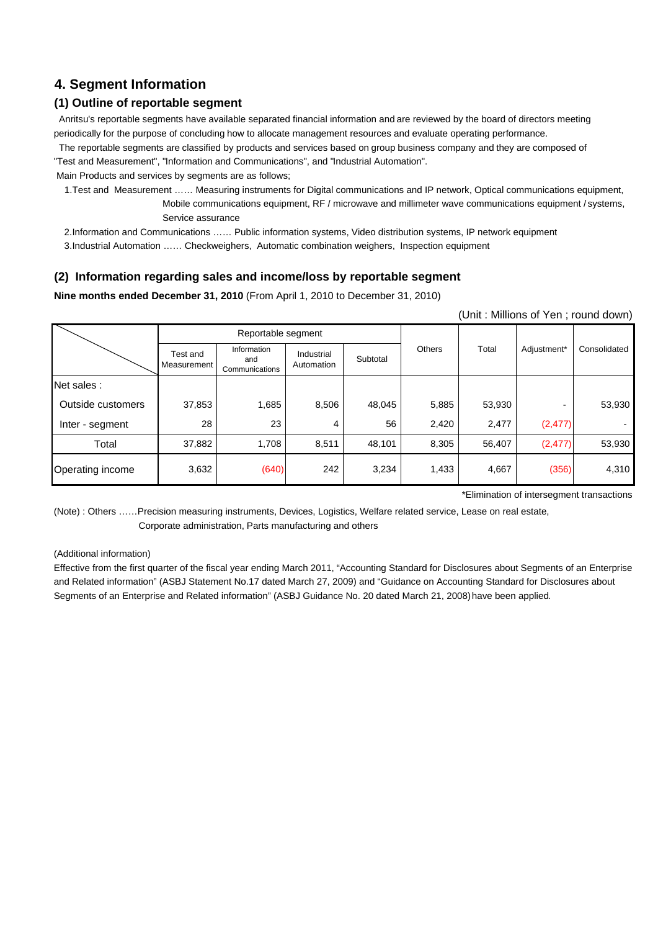### **4. Segment Information**

### **(1) Outline of reportable segment**

 Anritsu's reportable segments have available separated financial information and are reviewed by the board of directors meeting periodically for the purpose of concluding how to allocate management resources and evaluate operating performance.

 The reportable segments are classified by products and services based on group business company and they are composed of "Test and Measurement", "Information and Communications", and "Industrial Automation".

Main Products and services by segments are as follows;

 1.Test and Measurement …… Measuring instruments for Digital communications and IP network, Optical communications equipment, Mobile communications equipment, RF / microwave and millimeter wave communications equipment / systems, Service assurance

2.Information and Communications …… Public information systems, Video distribution systems, IP network equipment

3.Industrial Automation …… Checkweighers, Automatic combination weighers, Inspection equipment

### **(2) Information regarding sales and income/loss by reportable segment**

**Nine months ended December 31, 2010** (From April 1, 2010 to December 31, 2010)

(Unit : Millions of Yen ; round down)

|                   |                         | Reportable segment                   |                          |          |               |        |             | Consolidated |
|-------------------|-------------------------|--------------------------------------|--------------------------|----------|---------------|--------|-------------|--------------|
|                   | Test and<br>Measurement | Information<br>and<br>Communications | Industrial<br>Automation | Subtotal | <b>Others</b> | Total  | Adjustment* |              |
| Net sales :       |                         |                                      |                          |          |               |        |             |              |
| Outside customers | 37,853                  | 1,685                                | 8,506                    | 48,045   | 5,885         | 53,930 |             | 53,930       |
| Inter - segment   | 28                      | 23                                   | 4                        | 56       | 2,420         | 2,477  | (2, 477)    |              |
| Total             | 37,882                  | 1,708                                | 8,511                    | 48,101   | 8,305         | 56,407 | (2, 477)    | 53,930       |
| Operating income  | 3,632                   | (640)                                | 242                      | 3,234    | 1,433         | 4,667  | (356)       | 4,310        |

\*Elimination of intersegment transactions

(Note) : Others ……Precision measuring instruments, Devices, Logistics, Welfare related service, Lease on real estate, Corporate administration, Parts manufacturing and others

#### (Additional information)

Effective from the first quarter of the fiscal year ending March 2011, "Accounting Standard for Disclosures about Segments of an Enterprise and Related information" (ASBJ Statement No.17 dated March 27, 2009) and "Guidance on Accounting Standard for Disclosures about Segments of an Enterprise and Related information" (ASBJ Guidance No. 20 dated March 21, 2008) have been applied.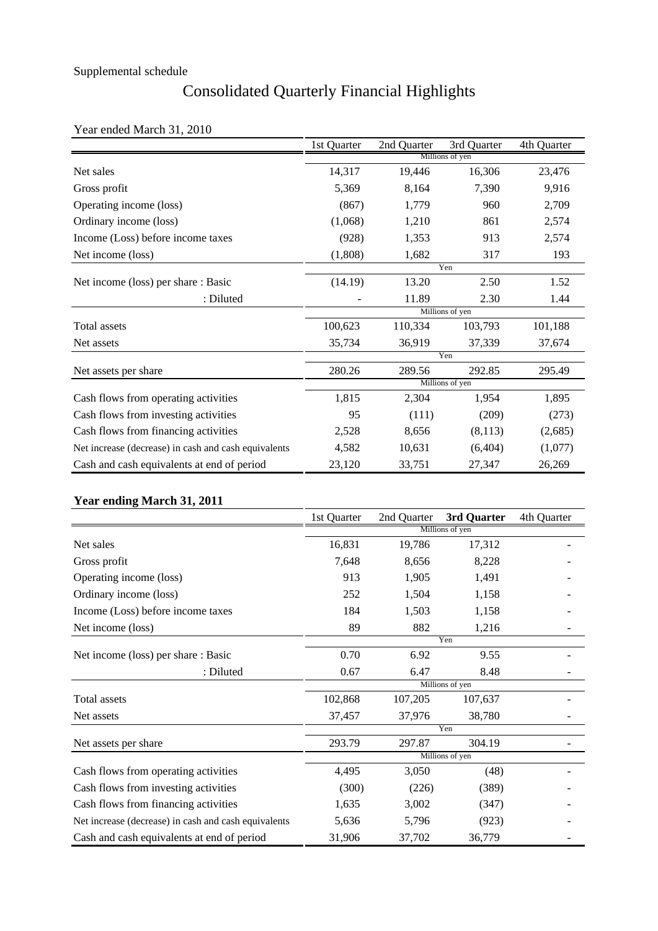# Consolidated Quarterly Financial Highlights

### Year ended March 31, 2010

|                                                      | 1st Quarter | 2nd Quarter | 3rd Quarter     | 4th Quarter |
|------------------------------------------------------|-------------|-------------|-----------------|-------------|
|                                                      |             |             | Millions of yen |             |
| Net sales                                            | 14,317      | 19,446      | 16,306          | 23,476      |
| Gross profit                                         | 5,369       | 8,164       | 7,390           | 9,916       |
| Operating income (loss)                              | (867)       | 1,779       | 960             | 2,709       |
| Ordinary income (loss)                               | (1,068)     | 1,210       | 861             | 2,574       |
| Income (Loss) before income taxes                    | (928)       | 1,353       | 913             | 2,574       |
| Net income (loss)                                    | (1,808)     | 1,682       | 317             | 193         |
|                                                      |             |             | Yen             |             |
| Net income (loss) per share : Basic                  | (14.19)     | 13.20       | 2.50            | 1.52        |
| : Diluted                                            |             | 11.89       | 2.30            | 1.44        |
|                                                      |             |             | Millions of yen |             |
| Total assets                                         | 100,623     | 110,334     | 103,793         | 101,188     |
| Net assets                                           | 35,734      | 36,919      | 37,339          | 37,674      |
|                                                      |             |             | Yen             |             |
| Net assets per share                                 | 280.26      | 289.56      | 292.85          | 295.49      |
|                                                      |             |             | Millions of yen |             |
| Cash flows from operating activities                 | 1,815       | 2,304       | 1,954           | 1,895       |
| Cash flows from investing activities                 | 95          | (111)       | (209)           | (273)       |
| Cash flows from financing activities                 | 2,528       | 8,656       | (8,113)         | (2,685)     |
| Net increase (decrease) in cash and cash equivalents | 4,582       | 10,631      | (6,404)         | (1,077)     |
| Cash and cash equivalents at end of period           | 23,120      | 33,751      | 27,347          | 26,269      |

### **Year ending March 31, 2011**

|                                                      | 1st Quarter | 2nd Quarter | 3rd Quarter     | 4th Quarter |
|------------------------------------------------------|-------------|-------------|-----------------|-------------|
|                                                      |             |             | Millions of yen |             |
| Net sales                                            | 16,831      | 19,786      | 17,312          |             |
| Gross profit                                         | 7,648       | 8,656       | 8,228           |             |
| Operating income (loss)                              | 913         | 1,905       | 1,491           |             |
| Ordinary income (loss)                               | 252         | 1,504       | 1,158           |             |
| Income (Loss) before income taxes                    | 184         | 1,503       | 1,158           |             |
| Net income (loss)                                    | 89          | 882         | 1,216           |             |
|                                                      |             |             | Yen             |             |
| Net income (loss) per share : Basic                  | 0.70        | 6.92        | 9.55            |             |
| : Diluted                                            | 0.67        | 6.47        | 8.48            |             |
|                                                      |             |             | Millions of yen |             |
| Total assets                                         | 102,868     | 107,205     | 107,637         |             |
| Net assets                                           | 37,457      | 37,976      | 38,780          |             |
|                                                      |             |             | Yen             |             |
| Net assets per share                                 | 293.79      | 297.87      | 304.19          |             |
|                                                      |             |             | Millions of yen |             |
| Cash flows from operating activities                 | 4,495       | 3,050       | (48)            |             |
| Cash flows from investing activities                 | (300)       | (226)       | (389)           |             |
| Cash flows from financing activities                 | 1,635       | 3,002       | (347)           |             |
| Net increase (decrease) in cash and cash equivalents | 5,636       | 5,796       | (923)           |             |
| Cash and cash equivalents at end of period           | 31,906      | 37,702      | 36,779          |             |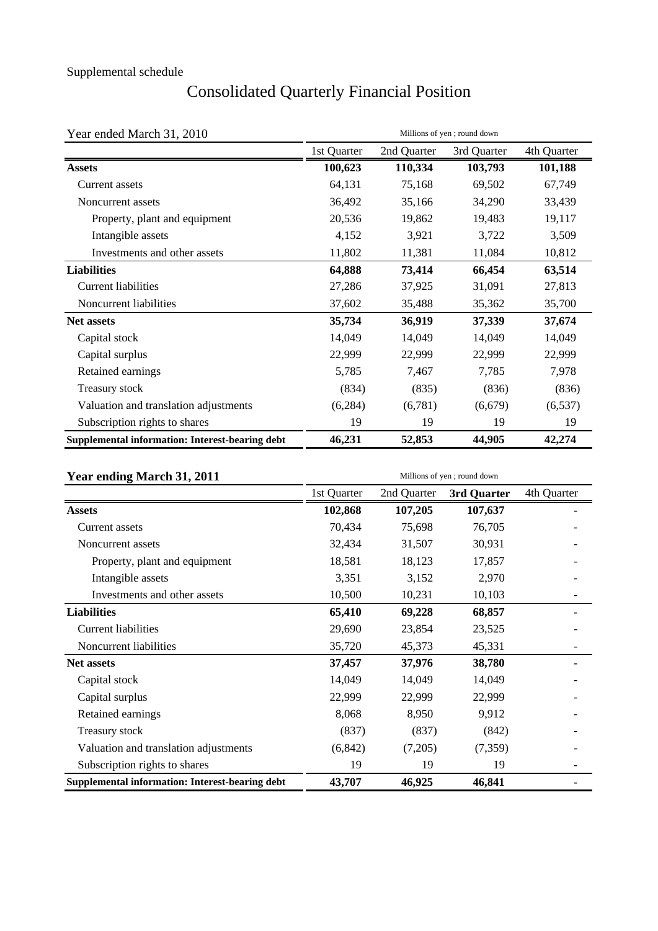# Consolidated Quarterly Financial Position

| Year ended March 31, 2010                       |             |             | Millions of yen; round down |             |
|-------------------------------------------------|-------------|-------------|-----------------------------|-------------|
|                                                 | 1st Quarter | 2nd Quarter | 3rd Quarter                 | 4th Quarter |
| <b>Assets</b>                                   | 100,623     | 110,334     | 103,793                     | 101,188     |
| Current assets                                  | 64,131      | 75,168      | 69,502                      | 67,749      |
| Noncurrent assets                               | 36,492      | 35,166      | 34,290                      | 33,439      |
| Property, plant and equipment                   | 20,536      | 19,862      | 19,483                      | 19,117      |
| Intangible assets                               | 4,152       | 3,921       | 3,722                       | 3,509       |
| Investments and other assets                    | 11,802      | 11,381      | 11,084                      | 10,812      |
| <b>Liabilities</b>                              | 64,888      | 73,414      | 66,454                      | 63,514      |
| Current liabilities                             | 27,286      | 37,925      | 31,091                      | 27,813      |
| Noncurrent liabilities                          | 37,602      | 35,488      | 35,362                      | 35,700      |
| <b>Net assets</b>                               | 35,734      | 36,919      | 37,339                      | 37,674      |
| Capital stock                                   | 14,049      | 14,049      | 14,049                      | 14,049      |
| Capital surplus                                 | 22,999      | 22,999      | 22,999                      | 22,999      |
| Retained earnings                               | 5,785       | 7,467       | 7,785                       | 7,978       |
| Treasury stock                                  | (834)       | (835)       | (836)                       | (836)       |
| Valuation and translation adjustments           | (6,284)     | (6,781)     | (6,679)                     | (6, 537)    |
| Subscription rights to shares                   | 19          | 19          | 19                          | 19          |
| Supplemental information: Interest-bearing debt | 46,231      | 52,853      | 44,905                      | 42,274      |

| Year ending March 31, 2011                             | Millions of yen; round down |             |             |             |  |  |
|--------------------------------------------------------|-----------------------------|-------------|-------------|-------------|--|--|
|                                                        | 1st Quarter                 | 2nd Quarter | 3rd Quarter | 4th Quarter |  |  |
| <b>Assets</b>                                          | 102,868                     | 107,205     | 107,637     |             |  |  |
| Current assets                                         | 70,434                      | 75,698      | 76,705      |             |  |  |
| Noncurrent assets                                      | 32,434                      | 31,507      | 30,931      |             |  |  |
| Property, plant and equipment                          | 18,581                      | 18,123      | 17,857      |             |  |  |
| Intangible assets                                      | 3,351                       | 3,152       | 2,970       |             |  |  |
| Investments and other assets                           | 10,500                      | 10,231      | 10,103      |             |  |  |
| <b>Liabilities</b>                                     | 65,410                      | 69,228      | 68,857      |             |  |  |
| <b>Current liabilities</b>                             | 29,690                      | 23,854      | 23,525      |             |  |  |
| Noncurrent liabilities                                 | 35,720                      | 45,373      | 45,331      |             |  |  |
| <b>Net assets</b>                                      | 37,457                      | 37,976      | 38,780      |             |  |  |
| Capital stock                                          | 14,049                      | 14,049      | 14,049      |             |  |  |
| Capital surplus                                        | 22,999                      | 22,999      | 22,999      |             |  |  |
| Retained earnings                                      | 8,068                       | 8,950       | 9,912       |             |  |  |
| Treasury stock                                         | (837)                       | (837)       | (842)       |             |  |  |
| Valuation and translation adjustments                  | (6, 842)                    | (7,205)     | (7,359)     |             |  |  |
| Subscription rights to shares                          | 19                          | 19          | 19          |             |  |  |
| <b>Supplemental information: Interest-bearing debt</b> | 43,707                      | 46,925      | 46,841      |             |  |  |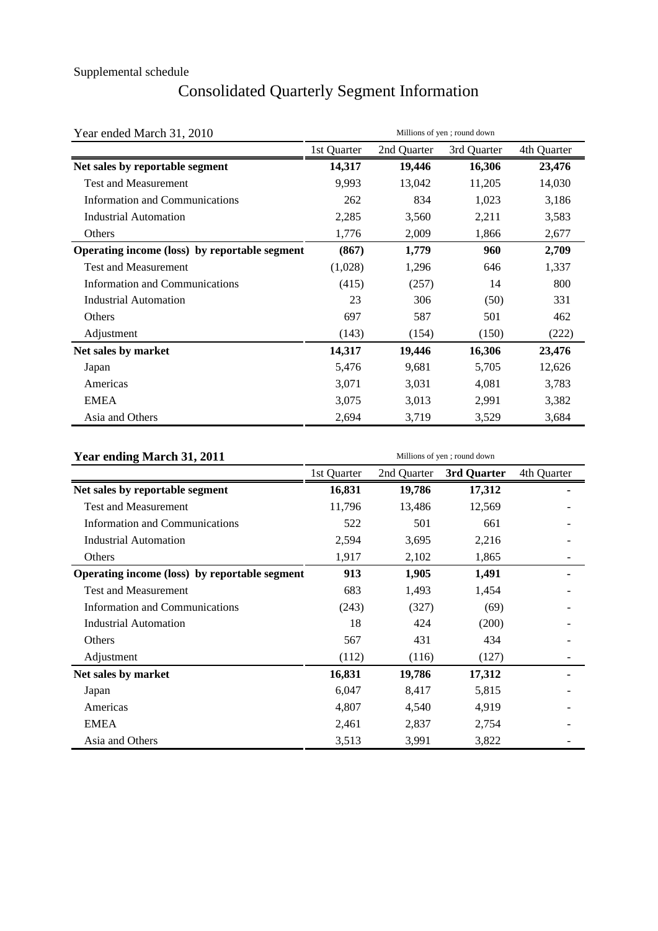# Consolidated Quarterly Segment Information

| Year ended March 31, 2010                     | Millions of yen; round down |             |             |             |  |
|-----------------------------------------------|-----------------------------|-------------|-------------|-------------|--|
|                                               | 1st Quarter                 | 2nd Quarter | 3rd Quarter | 4th Quarter |  |
| Net sales by reportable segment               | 14,317                      | 19,446      | 16,306      | 23,476      |  |
| <b>Test and Measurement</b>                   | 9,993                       | 13,042      | 11,205      | 14,030      |  |
| <b>Information and Communications</b>         | 262                         | 834         | 1,023       | 3,186       |  |
| <b>Industrial Automation</b>                  | 2,285                       | 3,560       | 2,211       | 3,583       |  |
| Others                                        | 1,776                       | 2,009       | 1,866       | 2,677       |  |
| Operating income (loss) by reportable segment | (867)                       | 1,779       | 960         | 2,709       |  |
| <b>Test and Measurement</b>                   | (1,028)                     | 1,296       | 646         | 1,337       |  |
| Information and Communications                | (415)                       | (257)       | 14          | 800         |  |
| <b>Industrial Automation</b>                  | 23                          | 306         | (50)        | 331         |  |
| Others                                        | 697                         | 587         | 501         | 462         |  |
| Adjustment                                    | (143)                       | (154)       | (150)       | (222)       |  |
| Net sales by market                           | 14,317                      | 19,446      | 16,306      | 23,476      |  |
| Japan                                         | 5,476                       | 9,681       | 5,705       | 12,626      |  |
| Americas                                      | 3,071                       | 3,031       | 4,081       | 3,783       |  |
| <b>EMEA</b>                                   | 3,075                       | 3,013       | 2,991       | 3,382       |  |
| Asia and Others                               | 2,694                       | 3,719       | 3,529       | 3,684       |  |

| Year ending March 31, 2011                    | Millions of yen; round down |             |             |             |  |
|-----------------------------------------------|-----------------------------|-------------|-------------|-------------|--|
|                                               | 1st Quarter                 | 2nd Quarter | 3rd Quarter | 4th Quarter |  |
| Net sales by reportable segment               | 16,831                      | 19,786      | 17,312      |             |  |
| <b>Test and Measurement</b>                   | 11,796                      | 13,486      | 12,569      |             |  |
| <b>Information and Communications</b>         | 522                         | 501         | 661         |             |  |
| <b>Industrial Automation</b>                  | 2,594                       | 3,695       | 2,216       |             |  |
| Others                                        | 1,917                       | 2,102       | 1,865       |             |  |
| Operating income (loss) by reportable segment | 913                         | 1,905       | 1,491       |             |  |
| <b>Test and Measurement</b>                   | 683                         | 1,493       | 1,454       |             |  |
| Information and Communications                | (243)                       | (327)       | (69)        |             |  |
| <b>Industrial Automation</b>                  | 18                          | 424         | (200)       |             |  |
| Others                                        | 567                         | 431         | 434         |             |  |
| Adjustment                                    | (112)                       | (116)       | (127)       |             |  |
| Net sales by market                           | 16,831                      | 19,786      | 17,312      |             |  |
| Japan                                         | 6,047                       | 8,417       | 5,815       |             |  |
| Americas                                      | 4,807                       | 4,540       | 4,919       |             |  |
| <b>EMEA</b>                                   | 2,461                       | 2,837       | 2,754       |             |  |
| Asia and Others                               | 3,513                       | 3,991       | 3,822       |             |  |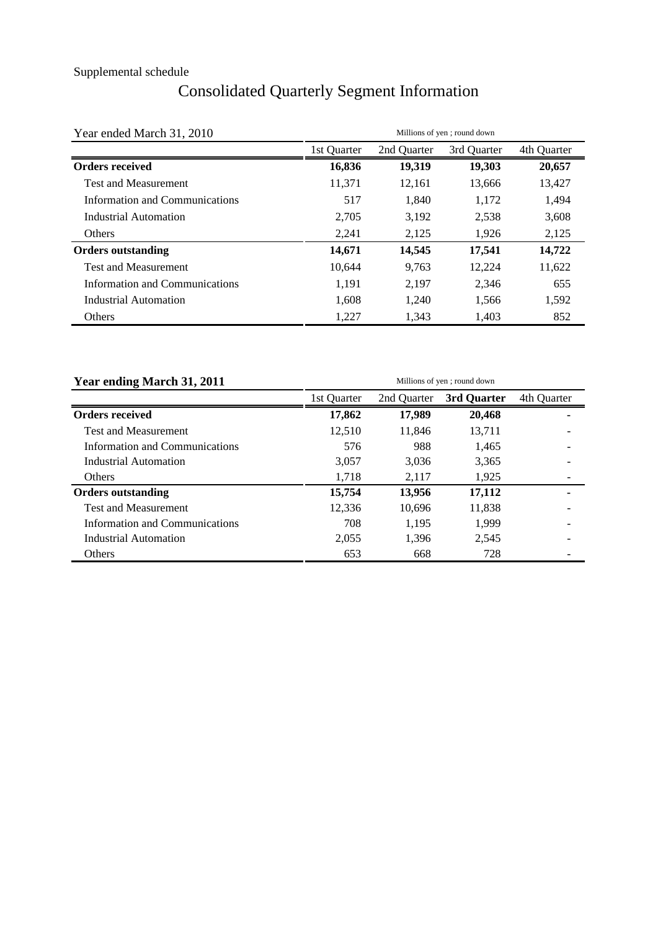# Consolidated Quarterly Segment Information

| Year ended March 31, 2010      | Millions of yen; round down |             |             |             |  |
|--------------------------------|-----------------------------|-------------|-------------|-------------|--|
|                                | 1st Quarter                 | 2nd Quarter | 3rd Quarter | 4th Quarter |  |
| <b>Orders received</b>         | 16,836                      | 19,319      | 19,303      | 20,657      |  |
| <b>Test and Measurement</b>    | 11,371                      | 12,161      | 13,666      | 13,427      |  |
| Information and Communications | 517                         | 1,840       | 1,172       | 1,494       |  |
| Industrial Automation          | 2,705                       | 3,192       | 2,538       | 3,608       |  |
| <b>Others</b>                  | 2,241                       | 2,125       | 1,926       | 2,125       |  |
| <b>Orders outstanding</b>      | 14,671                      | 14,545      | 17,541      | 14,722      |  |
| <b>Test and Measurement</b>    | 10.644                      | 9.763       | 12,224      | 11,622      |  |
| Information and Communications | 1,191                       | 2,197       | 2,346       | 655         |  |
| Industrial Automation          | 1.608                       | 1.240       | 1,566       | 1,592       |  |
| Others                         | 1,227                       | 1,343       | 1,403       | 852         |  |

| Year ending March 31, 2011     | Millions of yen; round down |             |             |             |  |  |
|--------------------------------|-----------------------------|-------------|-------------|-------------|--|--|
|                                | 1st Quarter                 | 2nd Ouarter | 3rd Quarter | 4th Ouarter |  |  |
| <b>Orders received</b>         | 17,862                      | 17,989      | 20,468      | ۰           |  |  |
| <b>Test and Measurement</b>    | 12.510                      | 11.846      | 13.711      |             |  |  |
| Information and Communications | 576                         | 988         | 1,465       |             |  |  |
| Industrial Automation          | 3.057                       | 3,036       | 3,365       |             |  |  |
| <b>Others</b>                  | 1,718                       | 2,117       | 1,925       |             |  |  |
| <b>Orders outstanding</b>      | 15,754                      | 13,956      | 17,112      |             |  |  |
| <b>Test and Measurement</b>    | 12.336                      | 10,696      | 11,838      |             |  |  |
| Information and Communications | 708                         | 1.195       | 1.999       |             |  |  |
| Industrial Automation          | 2,055                       | 1,396       | 2,545       |             |  |  |
| Others                         | 653                         | 668         | 728         |             |  |  |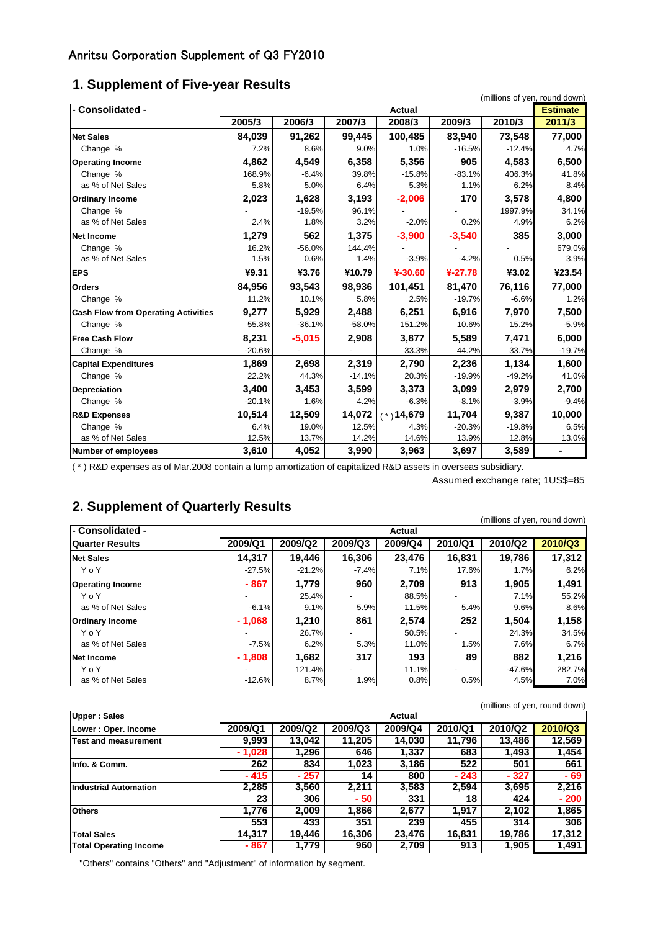### Anritsu Corporation Supplement of Q3 FY2010

### **1. Supplement of Five-year Results**

| - Consolidated -                           | <b>Actual</b> |          |          |             |             |          | <b>Estimate</b> |
|--------------------------------------------|---------------|----------|----------|-------------|-------------|----------|-----------------|
|                                            | 2005/3        | 2006/3   | 2007/3   | 2008/3      | 2009/3      | 2010/3   | 2011/3          |
| <b>Net Sales</b>                           | 84,039        | 91,262   | 99,445   | 100,485     | 83,940      | 73,548   | 77,000          |
| Change %                                   | 7.2%          | 8.6%     | 9.0%     | 1.0%        | $-16.5%$    | $-12.4%$ | 4.7%            |
| <b>Operating Income</b>                    | 4,862         | 4,549    | 6,358    | 5,356       | 905         | 4,583    | 6,500           |
| Change %                                   | 168.9%        | $-6.4%$  | 39.8%    | $-15.8%$    | $-83.1%$    | 406.3%   | 41.8%           |
| as % of Net Sales                          | 5.8%          | 5.0%     | 6.4%     | 5.3%        | 1.1%        | 6.2%     | 8.4%            |
| <b>Ordinary Income</b>                     | 2,023         | 1,628    | 3,193    | $-2,006$    | 170         | 3,578    | 4,800           |
| Change %                                   |               | $-19.5%$ | 96.1%    |             |             | 1997.9%  | 34.1%           |
| as % of Net Sales                          | 2.4%          | 1.8%     | 3.2%     | $-2.0%$     | 0.2%        | 4.9%     | 6.2%            |
| Net Income                                 | 1,279         | 562      | 1,375    | $-3,900$    | $-3,540$    | 385      | 3,000           |
| Change %                                   | 16.2%         | $-56.0%$ | 144.4%   |             |             |          | 679.0%          |
| as % of Net Sales                          | 1.5%          | 0.6%     | 1.4%     | $-3.9%$     | $-4.2%$     | 0.5%     | 3.9%            |
| <b>EPS</b>                                 | ¥9.31         | ¥3.76    | ¥10.79   | $4 - 30.60$ | $4 - 27.78$ | ¥3.02    | ¥23.54          |
| <b>Orders</b>                              | 84.956        | 93,543   | 98,936   | 101,451     | 81,470      | 76,116   | 77,000          |
| Change %                                   | 11.2%         | 10.1%    | 5.8%     | 2.5%        | $-19.7%$    | $-6.6%$  | 1.2%            |
| <b>Cash Flow from Operating Activities</b> | 9,277         | 5,929    | 2,488    | 6,251       | 6,916       | 7,970    | 7,500           |
| Change %                                   | 55.8%         | $-36.1%$ | $-58.0%$ | 151.2%      | 10.6%       | 15.2%    | $-5.9%$         |
| <b>Free Cash Flow</b>                      | 8,231         | $-5,015$ | 2,908    | 3,877       | 5,589       | 7,471    | 6,000           |
| Change %                                   | $-20.6%$      |          |          | 33.3%       | 44.2%       | 33.7%    | $-19.7%$        |
| <b>Capital Expenditures</b>                | 1,869         | 2,698    | 2,319    | 2,790       | 2,236       | 1,134    | 1,600           |
| Change %                                   | 22.2%         | 44.3%    | $-14.1%$ | 20.3%       | $-19.9%$    | $-49.2%$ | 41.0%           |
| <b>Depreciation</b>                        | 3,400         | 3,453    | 3,599    | 3,373       | 3,099       | 2,979    | 2,700           |
| Change %                                   | $-20.1%$      | 1.6%     | 4.2%     | $-6.3%$     | $-8.1%$     | $-3.9%$  | $-9.4%$         |
| <b>R&amp;D Expenses</b>                    | 10,514        | 12,509   | 14,072   | $(*)14,679$ | 11,704      | 9,387    | 10,000          |
| Change %                                   | 6.4%          | 19.0%    | 12.5%    | 4.3%        | $-20.3%$    | $-19.8%$ | 6.5%            |
| as % of Net Sales                          | 12.5%         | 13.7%    | 14.2%    | 14.6%       | 13.9%       | 12.8%    | 13.0%           |
| Number of employees                        | 3,610         | 4,052    | 3,990    | 3,963       | 3,697       | 3,589    |                 |

( \* ) R&D expenses as of Mar.2008 contain a lump amortization of capitalized R&D assets in overseas subsidiary.

Assumed exchange rate; 1US\$=85

### **2. Supplement of Quarterly Results**

| . .                     |          |          |         |               |         | (millions of yen, round down) |         |
|-------------------------|----------|----------|---------|---------------|---------|-------------------------------|---------|
| l- Consolidated -       |          |          |         | <b>Actual</b> |         |                               |         |
| <b>Quarter Results</b>  | 2009/Q1  | 2009/Q2  | 2009/Q3 | 2009/Q4       | 2010/Q1 | 2010/Q2                       | 2010/Q3 |
| <b>Net Sales</b>        | 14.317   | 19.446   | 16,306  | 23,476        | 16,831  | 19,786                        | 17,312  |
| YoY                     | $-27.5%$ | $-21.2%$ | $-7.4%$ | 7.1%          | 17.6%   | 1.7%                          | 6.2%    |
| <b>Operating Income</b> | $-867$   | 1,779    | 960     | 2,709         | 913     | 1,905                         | 1,491   |
| YoY                     |          | 25.4%    |         | 88.5%         |         | 7.1%                          | 55.2%   |
| as % of Net Sales       | $-6.1%$  | 9.1%     | 5.9%    | 11.5%         | 5.4%    | 9.6%                          | 8.6%    |
| <b>Ordinary Income</b>  | $-1,068$ | 1,210    | 861     | 2,574         | 252     | 1,504                         | 1,158   |
| YoY                     |          | 26.7%    |         | 50.5%         |         | 24.3%                         | 34.5%   |
| as % of Net Sales       | $-7.5%$  | 6.2%     | 5.3%    | 11.0%         | 1.5%    | 7.6%                          | 6.7%    |
| Net Income              | $-1,808$ | 1.682    | 317     | 193           | 89      | 882                           | 1.216   |
| YoY                     |          | 121.4%   |         | 11.1%         |         | $-47.6%$                      | 282.7%  |
| as % of Net Sales       | $-12.6%$ | 8.7%     | 1.9%    | 0.8%          | 0.5%    | 4.5%                          | 7.0%    |

|                               |         |         |         |         |         | (Millions of yen, Toung gown) |         |  |
|-------------------------------|---------|---------|---------|---------|---------|-------------------------------|---------|--|
| <b>Upper: Sales</b>           | Actual  |         |         |         |         |                               |         |  |
| Lower: Oper. Income           | 2009/Q1 | 2009/Q2 | 2009/Q3 | 2009/Q4 | 2010/Q1 | 2010/Q2                       | 2010/Q3 |  |
| <b>Test and measurement</b>   | 9,993   | 13,042  | 11.205  | 14,030  | 11.796  | 13.486                        | 12,569  |  |
|                               | - 1,028 | 1.296   | 646     | 1,337   | 683     | 1,493                         | 1.454   |  |
| Info. & Comm.                 | 262     | 834     | 1,023   | 3,186   | 522     | 501                           | 661     |  |
|                               | - 415   | $-257$  | 14      | 800     | - 243   | $-327$                        | - 69    |  |
| <b>Industrial Automation</b>  | 2,285   | 3,560   | 2,211   | 3,583   | 2,594   | 3,695                         | 2,216   |  |
|                               | 23      | 306     | - 50    | 331     | 18      | 424                           | $-200$  |  |
| <b>Others</b>                 | 1.776   | 2.009   | 1,866   | 2.677   | 1.917   | 2.102                         | 1,865   |  |
|                               | 553     | 433     | 351     | 239     | 455     | 314                           | 306     |  |
| <b>Total Sales</b>            | 14,317  | 19,446  | 16,306  | 23,476  | 16,831  | 19,786                        | 17,312  |  |
| <b>Total Operating Income</b> | - 867   | 1,779   | 960     | 2,709   | 913     | 1,905                         | 1,491   |  |

"Others" contains "Others" and "Adjustment" of information by segment.

#### (millions of yen, round down)